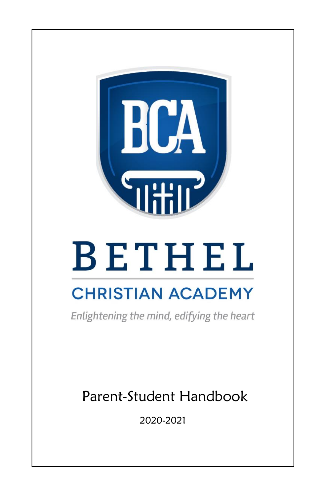

# **BETHEL**

## **CHRISTIAN ACADEMY**

Enlightening the mind, edifying the heart

Parent-Student Handbook

2020-2021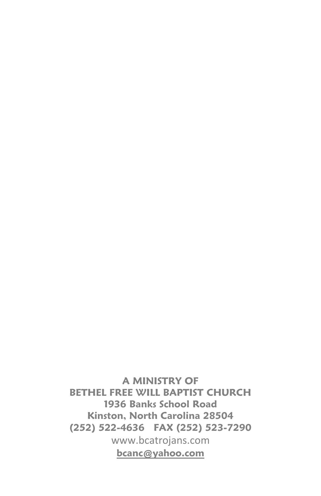**A MINISTRY OF BETHEL FREE WILL BAPTIST CHURCH 1936 Banks School Road Kinston, North Carolina 28504 (252) 522-4636 FAX (252) 523-7290** www.bcatrojans.com **[bcanc@yahoo.com](mailto:bcanc@yahoo.com)**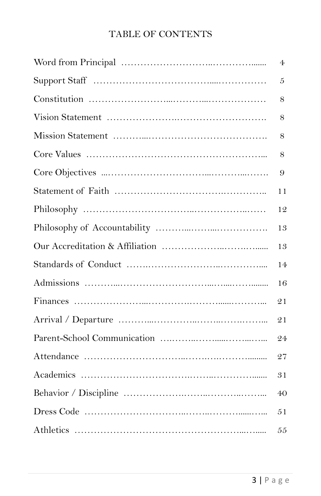### TABLE OF CONTENTS

| 4  |
|----|
| 5  |
| 8  |
| 8  |
| 8  |
| 8  |
| 9  |
| 11 |
| 12 |
| 13 |
| 13 |
| 14 |
| 16 |
| 21 |
| 21 |
| 24 |
| 27 |
| 31 |
| 40 |
| 51 |
| 55 |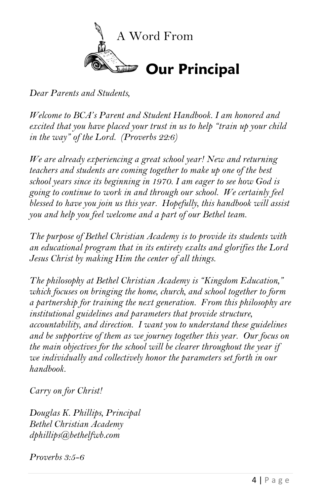

*Dear Parents and Students,*

*Welcome to BCA's Parent and Student Handbook. I am honored and excited that you have placed your trust in us to help "train up your child in the way" of the Lord. (Proverbs 22:6)*

*We are already experiencing a great school year! New and returning teachers and students are coming together to make up one of the best school years since its beginning in 1970. I am eager to see how God is going to continue to work in and through our school. We certainly feel blessed to have you join us this year. Hopefully, this handbook will assist you and help you feel welcome and a part of our Bethel team.* 

*The purpose of Bethel Christian Academy is to provide its students with an educational program that in its entirety exalts and glorifies the Lord Jesus Christ by making Him the center of all things.*

*The philosophy at Bethel Christian Academy is "Kingdom Education," which focuses on bringing the home, church, and school together to form a partnership for training the next generation. From this philosophy are institutional guidelines and parameters that provide structure, accountability, and direction. I want you to understand these guidelines and be supportive of them as we journey together this year. Our focus on the main objectives for the school will be clearer throughout the year if we individually and collectively honor the parameters set forth in our handbook.*

*Carry on for Christ!*

*Douglas K. Phillips, Principal Bethel Christian Academy dphillips@bethelfwb.com*

*Proverbs 3:5-6*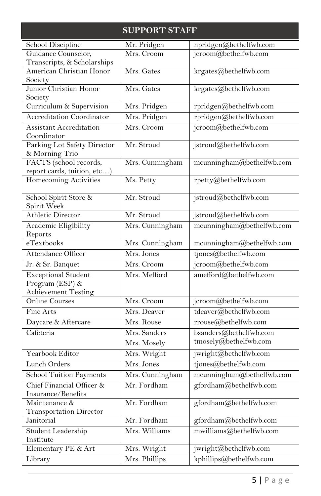| <b>SUPPORT STAFF</b>                |                 |                           |
|-------------------------------------|-----------------|---------------------------|
| School Discipline                   | Mr. Pridgen     | npridgen@bethelfwb.com    |
| Guidance Counselor,                 | Mrs. Croom      | jcroom@bethelfwb.com      |
| Transcripts, & Scholarships         |                 |                           |
| American Christian Honor            | Mrs. Gates      | krgates@bethelfwb.com     |
| Society                             |                 |                           |
| Junior Christian Honor              | Mrs. Gates      | krgates@bethelfwb.com     |
| Society<br>Curriculum & Supervision | Mrs. Pridgen    | rpridgen@bethelfwb.com    |
| <b>Accreditation Coordinator</b>    | Mrs. Pridgen    | rpridgen@bethelfwb.com    |
| <b>Assistant Accreditation</b>      | Mrs. Croom      |                           |
| Coordinator                         |                 | jcroom@bethelfwb.com      |
| Parking Lot Safety Director         | Mr. Stroud      | jstroud@bethelfwb.com     |
| & Morning Trio                      |                 |                           |
| FACTS (school records,              | Mrs. Cunningham | mcunningham@bethelfwb.com |
| report cards, tuition, etc)         |                 |                           |
| Homecoming Activities               | Ms. Petty       | rpetty@bethelfwb.com      |
| School Spirit Store &               | Mr. Stroud      | jstroud@bethelfwb.com     |
| Spirit Week                         |                 |                           |
| <b>Athletic Director</b>            | Mr. Stroud      | jstroud@bethelfwb.com     |
| Academic Eligibility                | Mrs. Cunningham | mcunningham@bethelfwb.com |
| Reports                             |                 |                           |
| eTextbooks                          | Mrs. Cunningham | mcunningham@bethelfwb.com |
| Attendance Officer                  | Mrs. Jones      | tjones@bethelfwb.com      |
| Jr. & Sr. Banquet                   | Mrs. Croom      | jcroom@bethelfwb.com      |
| <b>Exceptional Student</b>          | Mrs. Mefford    | amefford@bethelfwb.com    |
| Program (ESP) &                     |                 |                           |
| <b>Achievement Testing</b>          |                 |                           |
| <b>Online Courses</b>               | Mrs. Croom      | jcroom@bethelfwb.com      |
| Fine Arts                           | Mrs. Deaver     | tdeaver@bethelfwb.com     |
| Daycare & Aftercare                 | Mrs. Rouse      | rrouse@bethelfwb.com      |
| Cafeteria                           | Mrs. Sanders    | bsanders@bethelfwb.com    |
|                                     | Mrs. Mosely     | tmosely@bethelfwb.com     |
| Yearbook Editor                     | Mrs. Wright     | jwright@bethelfwb.com     |
| Lunch Orders                        | Mrs. Jones      | tjones@bethelfwb.com      |
| School Tuition Payments             | Mrs. Cunningham | mcunningham@bethelfwb.com |
| Chief Financial Officer &           | Mr. Fordham     | gfordham@bethelfwb.com    |
| Insurance/Benefits                  |                 |                           |
| Maintenance &                       | Mr. Fordham     | gfordham@bethelfwb.com    |
| <b>Transportation Director</b>      |                 |                           |
| Janitorial                          | Mr. Fordham     | gfordham@bethelfwb.com    |
| Student Leadership                  | Mrs. Williams   | mwilliams@bethelfwb.com   |
| Institute                           |                 |                           |
| Elementary PE & Art                 | Mrs. Wright     | jwright@bethelfwb.com     |
| Library                             | Mrs. Phillips   | kphillips@bethelfwb.com   |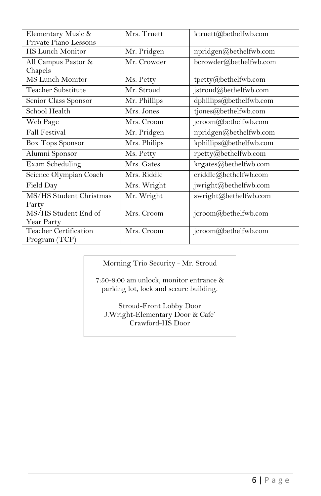| Elementary Music &      | Mrs. Truett  | ktruett@bethelfwb.com   |
|-------------------------|--------------|-------------------------|
| Private Piano Lessons   |              |                         |
| <b>HS Lunch Monitor</b> | Mr. Pridgen  | npridgen@bethelfwb.com  |
| All Campus Pastor &     | Mr. Crowder  | bcrowder@bethelfwb.com  |
| Chapels                 |              |                         |
| <b>MS</b> Lunch Monitor | Ms. Petty    | tpetty@bethelfwb.com    |
| Teacher Substitute      | Mr. Stroud   | jstroud@bethelfwb.com   |
| Senior Class Sponsor    | Mr. Phillips | dphillips@bethelfwb.com |
| School Health           | Mrs. Jones   | tjones@bethelfwb.com    |
| Web Page                | Mrs. Croom   | jcroom@bethelfwb.com    |
| <b>Fall Festival</b>    | Mr. Pridgen  | npridgen@bethelfwb.com  |
| <b>Box Tops Sponsor</b> | Mrs. Philips | kphillips@bethelfwb.com |
| Alumni Sponsor          | Ms. Petty    | rpetty@bethelfwb.com    |
| Exam Scheduling         | Mrs. Gates   | krgates@bethelfwb.com   |
| Science Olympian Coach  | Mrs. Riddle  | criddle@bethelfwb.com   |
| Field Day               | Mrs. Wright  | jwright@bethelfwb.com   |
| MS/HS Student Christmas | Mr. Wright   | swright@bethelfwb.com   |
| Party                   |              |                         |
| MS/HS Student End of    | Mrs. Croom   | jcroom@bethelfwb.com    |
| Year Party              |              |                         |
| Teacher Certification   | Mrs. Croom   | jcroom@bethelfwb.com    |
| Program (TCP)           |              |                         |

Morning Trio Security - Mr. Stroud

7:50-8:00 am unlock, monitor entrance & parking lot, lock and secure building.

Stroud-Front Lobby Door J.Wright-Elementary Door & Cafe' Crawford-HS Door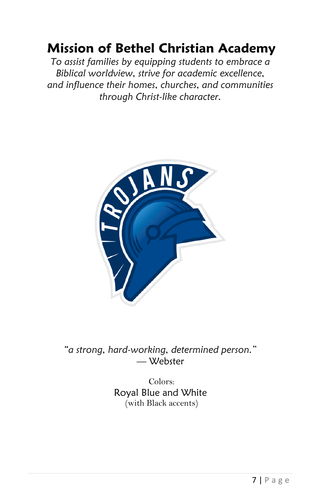## **Mission of Bethel Christian Academy**

*To assist families by equipping students to embrace a Biblical worldview, strive for academic excellence, and influence their homes, churches, and communities through Christ-like character.*



*"a strong, hard-working, determined person."*  — Webster

> Colors: Royal Blue and White (with Black accents)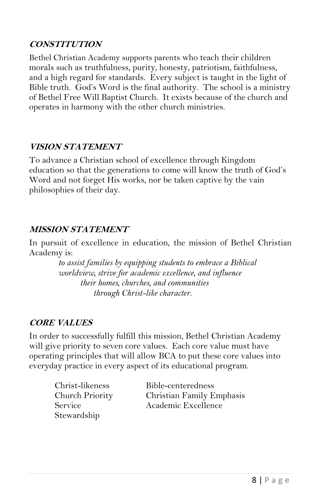#### **CONSTITUTION**

Bethel Christian Academy supports parents who teach their children morals such as truthfulness, purity, honesty, patriotism, faithfulness, and a high regard for standards. Every subject is taught in the light of Bible truth. God's Word is the final authority. The school is a ministry of Bethel Free Will Baptist Church. It exists because of the church and operates in harmony with the other church ministries.

#### **VISION STATEMENT**

To advance a Christian school of excellence through Kingdom education so that the generations to come will know the truth of God's Word and not forget His works, nor be taken captive by the vain philosophies of their day.

#### **MISSION STATEMENT**

In pursuit of excellence in education, the mission of Bethel Christian Academy is:

> *to assist families by equipping students to embrace a Biblical worldview, strive for academic excellence, and influence their homes, churches, and communities through Christ-like character.*

#### **CORE VALUES**

In order to successfully fulfill this mission, Bethel Christian Academy will give priority to seven core values. Each core value must have operating principles that will allow BCA to put these core values into everyday practice in every aspect of its educational program.

Stewardship

Christ-likeness Bible-centeredness Church Priority Christian Family Emphasis Service Academic Excellence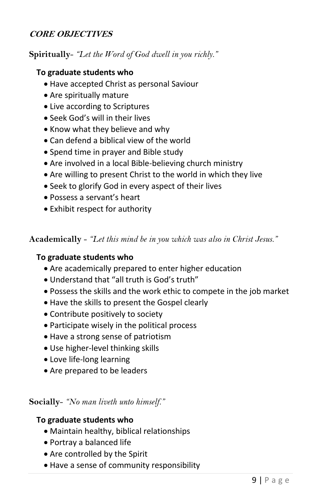#### **CORE OBJECTIVES**

**Spiritually**- *"Let the Word of God dwell in you richly."*

#### **To graduate students who**

- Have accepted Christ as personal Saviour
- Are spiritually mature
- Live according to Scriptures
- Seek God's will in their lives
- Know what they believe and why
- Can defend a biblical view of the world
- Spend time in prayer and Bible study
- Are involved in a local Bible-believing church ministry
- Are willing to present Christ to the world in which they live
- Seek to glorify God in every aspect of their lives
- Possess a servant's heart
- Exhibit respect for authority

**Academically** - *"Let this mind be in you which was also in Christ Jesus."*

#### **To graduate students who**

- Are academically prepared to enter higher education
- Understand that "all truth is God's truth"
- Possess the skills and the work ethic to compete in the job market
- Have the skills to present the Gospel clearly
- Contribute positively to society
- Participate wisely in the political process
- Have a strong sense of patriotism
- Use higher-level thinking skills
- Love life-long learning
- Are prepared to be leaders

#### **Socially**- *"No man liveth unto himself."*

#### **To graduate students who**

- Maintain healthy, biblical relationships
- Portray a balanced life
- Are controlled by the Spirit
- Have a sense of community responsibility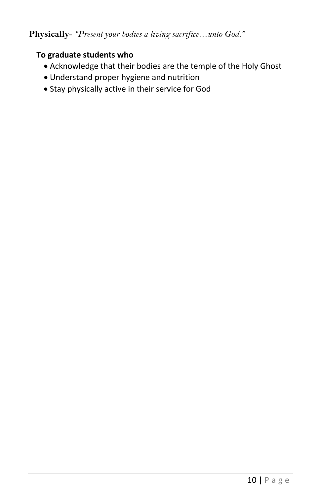#### **Physically**- *"Present your bodies a living sacrifice…unto God."*

#### **To graduate students who**

- Acknowledge that their bodies are the temple of the Holy Ghost
- Understand proper hygiene and nutrition
- Stay physically active in their service for God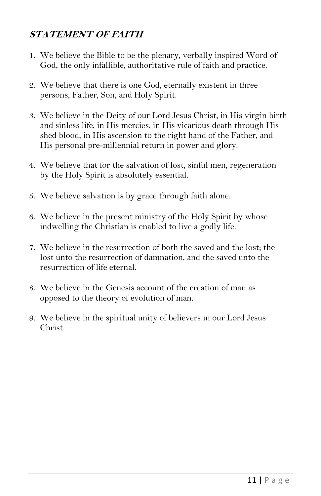#### **STATEMENT OF FAITH**

- 1. We believe the Bible to be the plenary, verbally inspired Word of God, the only infallible, authoritative rule of faith and practice.
- 2. We believe that there is one God, eternally existent in three persons, Father, Son, and Holy Spirit.
- 3. We believe in the Deity of our Lord Jesus Christ, in His virgin birth and sinless life, in His mercies, in His vicarious death through His shed blood, in His ascension to the right hand of the Father, and His personal pre-millennial return in power and glory.
- 4. We believe that for the salvation of lost, sinful men, regeneration by the Holy Spirit is absolutely essential.
- 5. We believe salvation is by grace through faith alone.
- 6. We believe in the present ministry of the Holy Spirit by whose indwelling the Christian is enabled to live a godly life.
- 7. We believe in the resurrection of both the saved and the lost; the lost unto the resurrection of damnation, and the saved unto the resurrection of life eternal.
- 8. We believe in the Genesis account of the creation of man as opposed to the theory of evolution of man.
- 9. We believe in the spiritual unity of believers in our Lord Jesus Christ.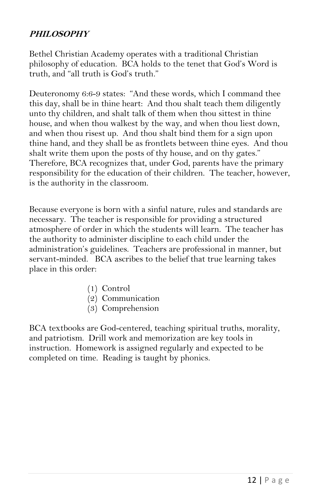#### **PHILOSOPHY**

Bethel Christian Academy operates with a traditional Christian philosophy of education. BCA holds to the tenet that God's Word is truth, and "all truth is God's truth."

Deuteronomy 6:6-9 states: "And these words, which I command thee this day, shall be in thine heart: And thou shalt teach them diligently unto thy children, and shalt talk of them when thou sittest in thine house, and when thou walkest by the way, and when thou liest down, and when thou risest up. And thou shalt bind them for a sign upon thine hand, and they shall be as frontlets between thine eyes. And thou shalt write them upon the posts of thy house, and on thy gates." Therefore, BCA recognizes that, under God, parents have the primary responsibility for the education of their children. The teacher, however, is the authority in the classroom.

Because everyone is born with a sinful nature, rules and standards are necessary. The teacher is responsible for providing a structured atmosphere of order in which the students will learn. The teacher has the authority to administer discipline to each child under the administration's guidelines. Teachers are professional in manner, but servant-minded. BCA ascribes to the belief that true learning takes place in this order:

- (1) Control
- (2) Communication
- (3) Comprehension

BCA textbooks are God-centered, teaching spiritual truths, morality, and patriotism. Drill work and memorization are key tools in instruction. Homework is assigned regularly and expected to be completed on time. Reading is taught by phonics.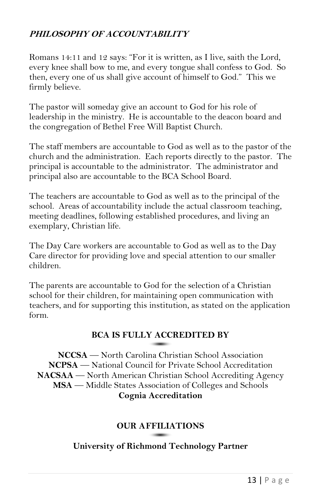#### **PHILOSOPHY OF ACCOUNTABILITY**

Romans 14:11 and 12 says: "For it is written, as I live, saith the Lord, every knee shall bow to me, and every tongue shall confess to God. So then, every one of us shall give account of himself to God." This we firmly believe.

The pastor will someday give an account to God for his role of leadership in the ministry. He is accountable to the deacon board and the congregation of Bethel Free Will Baptist Church.

The staff members are accountable to God as well as to the pastor of the church and the administration. Each reports directly to the pastor. The principal is accountable to the administrator. The administrator and principal also are accountable to the BCA School Board.

The teachers are accountable to God as well as to the principal of the school. Areas of accountability include the actual classroom teaching, meeting deadlines, following established procedures, and living an exemplary, Christian life.

The Day Care workers are accountable to God as well as to the Day Care director for providing love and special attention to our smaller children.

The parents are accountable to God for the selection of a Christian school for their children, for maintaining open communication with teachers, and for supporting this institution, as stated on the application form.

#### **BCA IS FULLY ACCREDITED BY**

**NCCSA** — North Carolina Christian School Association **NCPSA** — National Council for Private School Accreditation **NACSAA** — North American Christian School Accrediting Agency **MSA** — Middle States Association of Colleges and Schools **Cognia Accreditation** 

#### **OUR AFFILIATIONS**

#### **University of Richmond Technology Partner**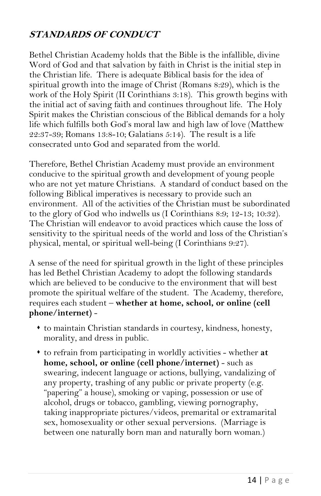#### **STANDARDS OF CONDUCT**

Bethel Christian Academy holds that the Bible is the infallible, divine Word of God and that salvation by faith in Christ is the initial step in the Christian life. There is adequate Biblical basis for the idea of spiritual growth into the image of Christ (Romans 8:29), which is the work of the Holy Spirit (II Corinthians 3:18). This growth begins with the initial act of saving faith and continues throughout life. The Holy Spirit makes the Christian conscious of the Biblical demands for a holy life which fulfills both God's moral law and high law of love (Matthew 22:37-39; Romans 13:8-10; Galatians 5:14). The result is a life consecrated unto God and separated from the world.

Therefore, Bethel Christian Academy must provide an environment conducive to the spiritual growth and development of young people who are not yet mature Christians. A standard of conduct based on the following Biblical imperatives is necessary to provide such an environment. All of the activities of the Christian must be subordinated to the glory of God who indwells us (I Corinthians 8:9; 12-13; 10:32). The Christian will endeavor to avoid practices which cause the loss of sensitivity to the spiritual needs of the world and loss of the Christian's physical, mental, or spiritual well-being (I Corinthians 9:27).

A sense of the need for spiritual growth in the light of these principles has led Bethel Christian Academy to adopt the following standards which are believed to be conducive to the environment that will best promote the spiritual welfare of the student. The Academy, therefore, requires each student – **whether at home, school, or online (cell phone/internet)** -

- to maintain Christian standards in courtesy, kindness, honesty, morality, and dress in public.
- to refrain from participating in worldly activities whether **at home, school, or online (cell phone/internet)** - such as swearing, indecent language or actions, bullying, vandalizing of any property, trashing of any public or private property (e.g. "papering" a house), smoking or vaping, possession or use of alcohol, drugs or tobacco, gambling, viewing pornography, taking inappropriate pictures/videos, premarital or extramarital sex, homosexuality or other sexual perversions. (Marriage is between one naturally born man and naturally born woman.)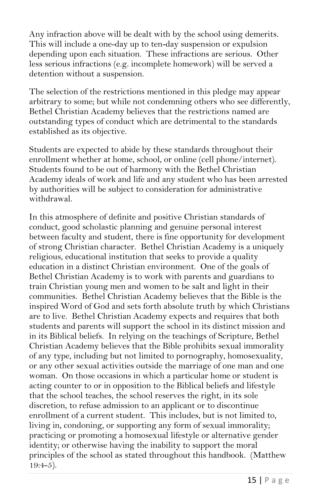Any infraction above will be dealt with by the school using demerits. This will include a one-day up to ten-day suspension or expulsion depending upon each situation. These infractions are serious. Other less serious infractions (e.g. incomplete homework) will be served a detention without a suspension.

The selection of the restrictions mentioned in this pledge may appear arbitrary to some; but while not condemning others who see differently, Bethel Christian Academy believes that the restrictions named are outstanding types of conduct which are detrimental to the standards established as its objective.

Students are expected to abide by these standards throughout their enrollment whether at home, school, or online (cell phone/internet). Students found to be out of harmony with the Bethel Christian Academy ideals of work and life and any student who has been arrested by authorities will be subject to consideration for administrative withdrawal.

In this atmosphere of definite and positive Christian standards of conduct, good scholastic planning and genuine personal interest between faculty and student, there is fine opportunity for development of strong Christian character. Bethel Christian Academy is a uniquely religious, educational institution that seeks to provide a quality education in a distinct Christian environment. One of the goals of Bethel Christian Academy is to work with parents and guardians to train Christian young men and women to be salt and light in their communities. Bethel Christian Academy believes that the Bible is the inspired Word of God and sets forth absolute truth by which Christians are to live. Bethel Christian Academy expects and requires that both students and parents will support the school in its distinct mission and in its Biblical beliefs. In relying on the teachings of Scripture, Bethel Christian Academy believes that the Bible prohibits sexual immorality of any type, including but not limited to pornography, homosexuality, or any other sexual activities outside the marriage of one man and one woman. On those occasions in which a particular home or student is acting counter to or in opposition to the Biblical beliefs and lifestyle that the school teaches, the school reserves the right, in its sole discretion, to refuse admission to an applicant or to discontinue enrollment of a current student. This includes, but is not limited to, living in, condoning, or supporting any form of sexual immorality; practicing or promoting a homosexual lifestyle or alternative gender identity; or otherwise having the inability to support the moral principles of the school as stated throughout this handbook. (Matthew  $19:4-5$ ).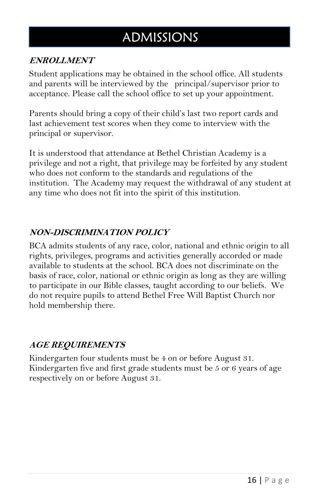## ADMISSIONS

#### **ENROLLMENT**

Student applications may be obtained in the school office. All students and parents will be interviewed by the principal/supervisor prior to acceptance. Please call the school office to set up your appointment.

Parents should bring a copy of their child's last two report cards and last achievement test scores when they come to interview with the principal or supervisor.

It is understood that attendance at Bethel Christian Academy is a privilege and not a right, that privilege may be forfeited by any student who does not conform to the standards and regulations of the institution. The Academy may request the withdrawal of any student at any time who does not fit into the spirit of this institution.

#### **NON-DISCRIMINATION POLICY**

BCA admits students of any race, color, national and ethnic origin to all rights, privileges, programs and activities generally accorded or made available to students at the school. BCA does not discriminate on the basis of race, color, national or ethnic origin as long as they are willing to participate in our Bible classes, taught according to our beliefs. We do not require pupils to attend Bethel Free Will Baptist Church nor hold membership there.

#### **AGE REQUIREMENTS**

Kindergarten four students must be 4 on or before August 31. Kindergarten five and first grade students must be 5 or 6 years of age respectively on or before August 31.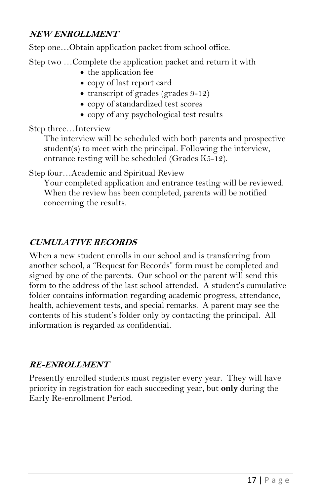#### **NEW ENROLLMENT**

Step one…Obtain application packet from school office.

Step two …Complete the application packet and return it with

- the application fee
- copy of last report card
- $\bullet$  transcript of grades (grades 9-12)
- copy of standardized test scores
- copy of any psychological test results

Step three…Interview

The interview will be scheduled with both parents and prospective student(s) to meet with the principal. Following the interview, entrance testing will be scheduled (Grades K5-12).

Step four…Academic and Spiritual Review

Your completed application and entrance testing will be reviewed. When the review has been completed, parents will be notified concerning the results.

#### **CUMULATIVE RECORDS**

When a new student enrolls in our school and is transferring from another school, a "Request for Records" form must be completed and signed by one of the parents. Our school or the parent will send this form to the address of the last school attended. A student's cumulative folder contains information regarding academic progress, attendance, health, achievement tests, and special remarks. A parent may see the contents of his student's folder only by contacting the principal. All information is regarded as confidential.

#### **RE-ENROLLMENT**

Presently enrolled students must register every year. They will have priority in registration for each succeeding year, but **only** during the Early Re-enrollment Period.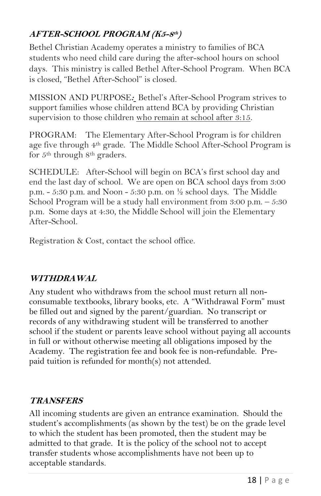#### **AFTER-SCHOOL PROGRAM (K5-8 th )**

Bethel Christian Academy operates a ministry to families of BCA students who need child care during the after-school hours on school days. This ministry is called Bethel After-School Program. When BCA is closed, "Bethel After-School" is closed.

MISSION AND PURPOSE**:** Bethel's After-School Program strives to support families whose children attend BCA by providing Christian supervision to those children who remain at school after 3:15.

PROGRAM: The Elementary After-School Program is for children age five through 4<sup>th</sup> grade. The Middle School After-School Program is for 5th through 8th graders.

SCHEDULE: After-School will begin on BCA's first school day and end the last day of school. We are open on BCA school days from 3:00 p.m. - 5:30 p.m. and Noon - 5:30 p.m. on  $\frac{1}{2}$  school days. The Middle School Program will be a study hall environment from 3:00 p.m. – 5:30 p.m. Some days at 4:30, the Middle School will join the Elementary After-School.

Registration & Cost, contact the school office.

#### **WITHDRAWAL**

Any student who withdraws from the school must return all nonconsumable textbooks, library books, etc. A "Withdrawal Form" must be filled out and signed by the parent/guardian. No transcript or records of any withdrawing student will be transferred to another school if the student or parents leave school without paying all accounts in full or without otherwise meeting all obligations imposed by the Academy. The registration fee and book fee is non-refundable. Prepaid tuition is refunded for month(s) not attended.

#### **TRANSFERS**

All incoming students are given an entrance examination. Should the student's accomplishments (as shown by the test) be on the grade level to which the student has been promoted, then the student may be admitted to that grade. It is the policy of the school not to accept transfer students whose accomplishments have not been up to acceptable standards.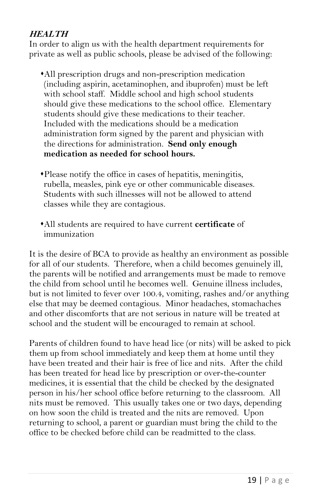#### **HEALTH**

In order to align us with the health department requirements for private as well as public schools, please be advised of the following:

- All prescription drugs and non-prescription medication (including aspirin, acetaminophen, and ibuprofen) must be left with school staff. Middle school and high school students should give these medications to the school office. Elementary students should give these medications to their teacher. Included with the medications should be a medication administration form signed by the parent and physician with the directions for administration. **Send only enough medication as needed for school hours.**
- Please notify the office in cases of hepatitis, meningitis, rubella, measles, pink eye or other communicable diseases. Students with such illnesses will not be allowed to attend classes while they are contagious.
- All students are required to have current **certificate** of immunization

It is the desire of BCA to provide as healthy an environment as possible for all of our students. Therefore, when a child becomes genuinely ill, the parents will be notified and arrangements must be made to remove the child from school until he becomes well. Genuine illness includes, but is not limited to fever over 100.4, vomiting, rashes and/or anything else that may be deemed contagious. Minor headaches, stomachaches and other discomforts that are not serious in nature will be treated at school and the student will be encouraged to remain at school.

Parents of children found to have head lice (or nits) will be asked to pick them up from school immediately and keep them at home until they have been treated and their hair is free of lice and nits. After the child has been treated for head lice by prescription or over-the-counter medicines, it is essential that the child be checked by the designated person in his/her school office before returning to the classroom. All nits must be removed. This usually takes one or two days, depending on how soon the child is treated and the nits are removed. Upon returning to school, a parent or guardian must bring the child to the office to be checked before child can be readmitted to the class.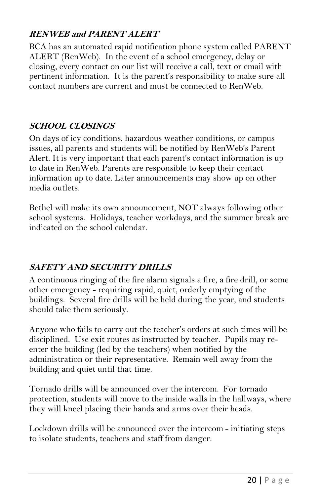#### **RENWEB and PARENT ALERT**

BCA has an automated rapid notification phone system called PARENT ALERT (RenWeb). In the event of a school emergency, delay or closing, every contact on our list will receive a call, text or email with pertinent information. It is the parent's responsibility to make sure all contact numbers are current and must be connected to RenWeb.

#### **SCHOOL CLOSINGS**

On days of icy conditions, hazardous weather conditions, or campus issues, all parents and students will be notified by RenWeb's Parent Alert. It is very important that each parent's contact information is up to date in RenWeb. Parents are responsible to keep their contact information up to date. Later announcements may show up on other media outlets.

Bethel will make its own announcement, NOT always following other school systems. Holidays, teacher workdays, and the summer break are indicated on the school calendar.

#### **SAFETY AND SECURITY DRILLS**

A continuous ringing of the fire alarm signals a fire, a fire drill, or some other emergency - requiring rapid, quiet, orderly emptying of the buildings. Several fire drills will be held during the year, and students should take them seriously.

Anyone who fails to carry out the teacher's orders at such times will be disciplined. Use exit routes as instructed by teacher. Pupils may reenter the building (led by the teachers) when notified by the administration or their representative. Remain well away from the building and quiet until that time.

Tornado drills will be announced over the intercom. For tornado protection, students will move to the inside walls in the hallways, where they will kneel placing their hands and arms over their heads.

Lockdown drills will be announced over the intercom - initiating steps to isolate students, teachers and staff from danger.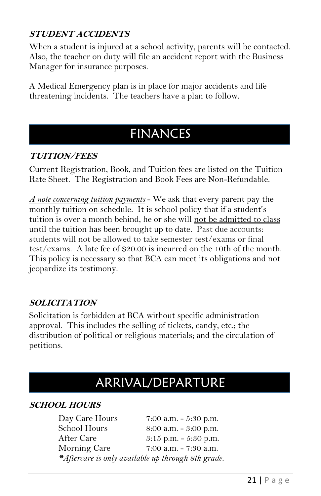#### **STUDENT ACCIDENTS**

When a student is injured at a school activity, parents will be contacted. Also, the teacher on duty will file an accident report with the Business Manager for insurance purposes.

A Medical Emergency plan is in place for major accidents and life threatening incidents. The teachers have a plan to follow.

## FINANCES

#### **TUITION/FEES**

Current Registration, Book, and Tuition fees are listed on the Tuition Rate Sheet. The Registration and Book Fees are Non-Refundable.

*A note concerning tuition payments* - We ask that every parent pay the monthly tuition on schedule. It is school policy that if a student's tuition is over a month behind, he or she will not be admitted to class until the tuition has been brought up to date. Past due accounts: students will not be allowed to take semester test/exams or final test/exams. A late fee of \$20.00 is incurred on the 10th of the month. This policy is necessary so that BCA can meet its obligations and not jeopardize its testimony.

#### **SOLICITATION**

Solicitation is forbidden at BCA without specific administration approval. This includes the selling of tickets, candy, etc.; the distribution of political or religious materials; and the circulation of petitions.

## ARRIVAL/DEPARTURE

#### **SCHOOL HOURS**

Day Care Hours 7:00 a.m. - 5:30 p.m. School Hours 8:00 a.m. - 3:00 p.m. After Care 3:15 p.m. - 5:30 p.m. Morning Care 7:00 a.m. - 7:30 a.m. *\*Aftercare is only available up through 8th grade.*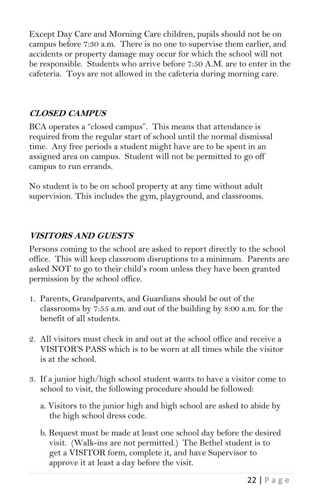Except Day Care and Morning Care children, pupils should not be on campus before 7:30 a.m. There is no one to supervise them earlier, and accidents or property damage may occur for which the school will not be responsible. Students who arrive before 7:50 A.M. are to enter in the cafeteria. Toys are not allowed in the cafeteria during morning care.

#### **CLOSED CAMPUS**

BCA operates a "closed campus". This means that attendance is required from the regular start of school until the normal dismissal time. Any free periods a student might have are to be spent in an assigned area on campus. Student will not be permitted to go off campus to run errands.

No student is to be on school property at any time without adult supervision. This includes the gym, playground, and classrooms.

#### **VISITORS AND GUESTS**

Persons coming to the school are asked to report directly to the school office. This will keep classroom disruptions to a minimum. Parents are asked NOT to go to their child's room unless they have been granted permission by the school office.

- 1. Parents, Grandparents, and Guardians should be out of the classrooms by 7:55 a.m. and out of the building by 8:00 a.m. for the benefit of all students.
- 2. All visitors must check in and out at the school office and receive a VISITOR'S PASS which is to be worn at all times while the visitor is at the school.
- 3. If a junior high/high school student wants to have a visitor come to school to visit, the following procedure should be followed:
	- a. Visitors to the junior high and high school are asked to abide by the high school dress code.
	- b. Request must be made at least one school day before the desired visit. (Walk-ins are not permitted.) The Bethel student is to get a VISITOR form, complete it, and have Supervisor to approve it at least a day before the visit.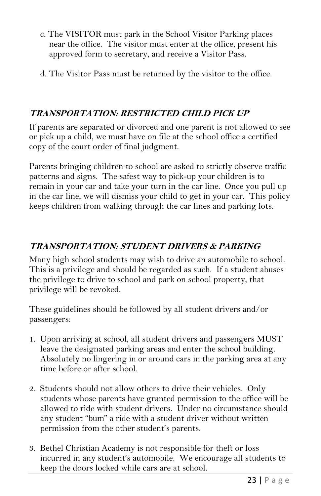- c. The VISITOR must park in the School Visitor Parking places near the office. The visitor must enter at the office, present his approved form to secretary, and receive a Visitor Pass.
- d. The Visitor Pass must be returned by the visitor to the office.

#### **TRANSPORTATION: RESTRICTED CHILD PICK UP**

If parents are separated or divorced and one parent is not allowed to see or pick up a child, we must have on file at the school office a certified copy of the court order of final judgment.

Parents bringing children to school are asked to strictly observe traffic patterns and signs. The safest way to pick-up your children is to remain in your car and take your turn in the car line. Once you pull up in the car line, we will dismiss your child to get in your car. This policy keeps children from walking through the car lines and parking lots.

#### **TRANSPORTATION: STUDENT DRIVERS & PARKING**

Many high school students may wish to drive an automobile to school. This is a privilege and should be regarded as such. If a student abuses the privilege to drive to school and park on school property, that privilege will be revoked.

These guidelines should be followed by all student drivers and/or passengers:

- 1. Upon arriving at school, all student drivers and passengers MUST leave the designated parking areas and enter the school building. Absolutely no lingering in or around cars in the parking area at any time before or after school.
- 2. Students should not allow others to drive their vehicles. Only students whose parents have granted permission to the office will be allowed to ride with student drivers. Under no circumstance should any student "bum" a ride with a student driver without written permission from the other student's parents.
- 3. Bethel Christian Academy is not responsible for theft or loss incurred in any student's automobile. We encourage all students to keep the doors locked while cars are at school.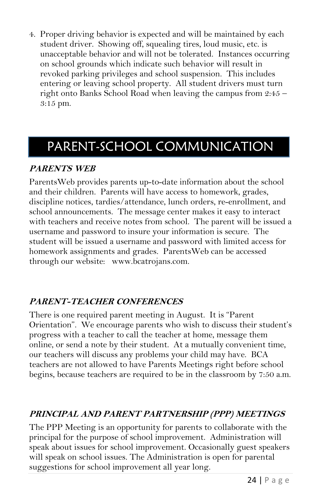4. Proper driving behavior is expected and will be maintained by each student driver. Showing off, squealing tires, loud music, etc. is unacceptable behavior and will not be tolerated. Instances occurring on school grounds which indicate such behavior will result in revoked parking privileges and school suspension. This includes entering or leaving school property. All student drivers must turn right onto Banks School Road when leaving the campus from 2:45 – 3:15 pm.

## PARENT-SCHOOL COMMUNICATION

#### **PARENTS WEB**

ParentsWeb provides parents up-to-date information about the school and their children. Parents will have access to homework, grades, discipline notices, tardies/attendance, lunch orders, re-enrollment, and school announcements. The message center makes it easy to interact with teachers and receive notes from school. The parent will be issued a username and password to insure your information is secure. The student will be issued a username and password with limited access for homework assignments and grades. ParentsWeb can be accessed through our website: www.bcatrojans.com.

#### **PARENT-TEACHER CONFERENCES**

There is one required parent meeting in August. It is "Parent Orientation". We encourage parents who wish to discuss their student's progress with a teacher to call the teacher at home, message them online, or send a note by their student. At a mutually convenient time, our teachers will discuss any problems your child may have. BCA teachers are not allowed to have Parents Meetings right before school begins, because teachers are required to be in the classroom by 7:50 a.m.

#### **PRINCIPAL AND PARENT PARTNERSHIP (PPP) MEETINGS**

The PPP Meeting is an opportunity for parents to collaborate with the principal for the purpose of school improvement. Administration will speak about issues for school improvement. Occasionally guest speakers will speak on school issues. The Administration is open for parental suggestions for school improvement all year long.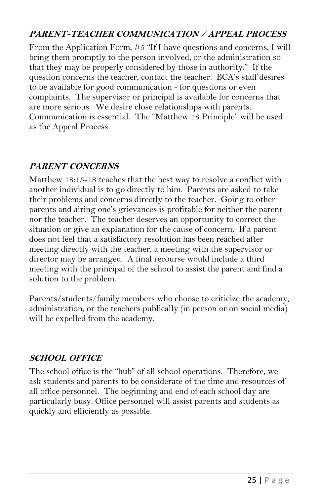#### **PARENT-TEACHER COMMUNICATION / APPEAL PROCESS**

From the Application Form, #5 "If I have questions and concerns, I will bring them promptly to the person involved, or the administration so that they may be properly considered by those in authority." If the question concerns the teacher, contact the teacher. BCA's staff desires to be available for good communication - for questions or even complaints. The supervisor or principal is available for concerns that are more serious. We desire close relationships with parents. Communication is essential. The "Matthew 18 Principle" will be used as the Appeal Process.

#### **PARENT CONCERNS**

Matthew 18:15-18 teaches that the best way to resolve a conflict with another individual is to go directly to him. Parents are asked to take their problems and concerns directly to the teacher. Going to other parents and airing one's grievances is profitable for neither the parent nor the teacher. The teacher deserves an opportunity to correct the situation or give an explanation for the cause of concern. If a parent does not feel that a satisfactory resolution has been reached after meeting directly with the teacher, a meeting with the supervisor or director may be arranged. A final recourse would include a third meeting with the principal of the school to assist the parent and find a solution to the problem.

Parents/students/family members who choose to criticize the academy, administration, or the teachers publically (in person or on social media) will be expelled from the academy.

#### **SCHOOL OFFICE**

The school office is the "hub" of all school operations. Therefore, we ask students and parents to be considerate of the time and resources of all office personnel. The beginning and end of each school day are particularly busy. Office personnel will assist parents and students as quickly and efficiently as possible.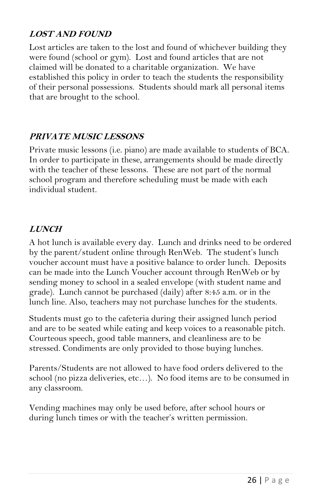#### **LOST AND FOUND**

Lost articles are taken to the lost and found of whichever building they were found (school or gym). Lost and found articles that are not claimed will be donated to a charitable organization. We have established this policy in order to teach the students the responsibility of their personal possessions. Students should mark all personal items that are brought to the school.

#### **PRIVATE MUSIC LESSONS**

Private music lessons (i.e. piano) are made available to students of BCA. In order to participate in these, arrangements should be made directly with the teacher of these lessons. These are not part of the normal school program and therefore scheduling must be made with each individual student.

#### **LUNCH**

A hot lunch is available every day. Lunch and drinks need to be ordered by the parent/student online through RenWeb. The student's lunch voucher account must have a positive balance to order lunch. Deposits can be made into the Lunch Voucher account through RenWeb or by sending money to school in a sealed envelope (with student name and grade). Lunch cannot be purchased (daily) after 8:45 a.m. or in the lunch line. Also, teachers may not purchase lunches for the students.

Students must go to the cafeteria during their assigned lunch period and are to be seated while eating and keep voices to a reasonable pitch. Courteous speech, good table manners, and cleanliness are to be stressed. Condiments are only provided to those buying lunches.

Parents/Students are not allowed to have food orders delivered to the school (no pizza deliveries, etc…). No food items are to be consumed in any classroom.

Vending machines may only be used before, after school hours or during lunch times or with the teacher's written permission.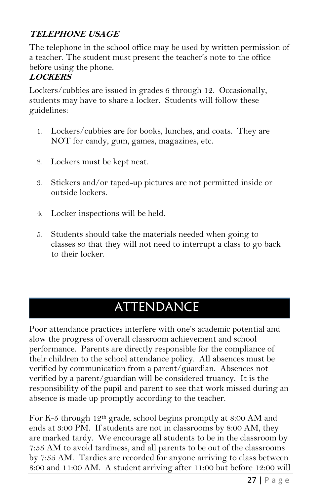#### **TELEPHONE USAGE**

The telephone in the school office may be used by written permission of a teacher. The student must present the teacher's note to the office before using the phone.

#### **LOCKERS**

Lockers/cubbies are issued in grades 6 through 12. Occasionally, students may have to share a locker. Students will follow these guidelines:

- 1. Lockers/cubbies are for books, lunches, and coats. They are NOT for candy, gum, games, magazines, etc.
- 2. Lockers must be kept neat.
- 3. Stickers and/or taped-up pictures are not permitted inside or outside lockers.
- 4. Locker inspections will be held.
- 5. Students should take the materials needed when going to classes so that they will not need to interrupt a class to go back to their locker.

## ATTENDANCE

Poor attendance practices interfere with one's academic potential and slow the progress of overall classroom achievement and school performance. Parents are directly responsible for the compliance of their children to the school attendance policy. All absences must be verified by communication from a parent/guardian. Absences not verified by a parent/guardian will be considered truancy. It is the responsibility of the pupil and parent to see that work missed during an absence is made up promptly according to the teacher.

For K-5 through 12th grade, school begins promptly at 8:00 AM and ends at 3:00 PM. If students are not in classrooms by 8:00 AM, they are marked tardy. We encourage all students to be in the classroom by 7:55 AM to avoid tardiness, and all parents to be out of the classrooms by 7:55 AM. Tardies are recorded for anyone arriving to class between 8:00 and 11:00 AM. A student arriving after 11:00 but before 12:00 will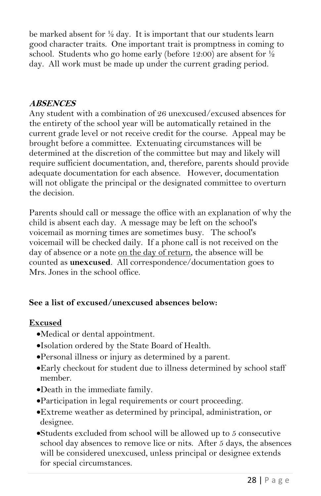be marked absent for  $\frac{1}{2}$  day. It is important that our students learn good character traits. One important trait is promptness in coming to school. Students who go home early (before 12:00) are absent for ½ day. All work must be made up under the current grading period.

#### **ABSENCES**

Any student with a combination of 26 unexcused/excused absences for the entirety of the school year will be automatically retained in the current grade level or not receive credit for the course. Appeal may be brought before a committee. Extenuating circumstances will be determined at the discretion of the committee but may and likely will require sufficient documentation, and, therefore, parents should provide adequate documentation for each absence. However, documentation will not obligate the principal or the designated committee to overturn the decision.

Parents should call or message the office with an explanation of why the child is absent each day. A message may be left on the school's voicemail as morning times are sometimes busy. The school's voicemail will be checked daily. If a phone call is not received on the day of absence or a note on the day of return, the absence will be counted as **unexcused**. All correspondence/documentation goes to Mrs. Jones in the school office.

#### **See a list of excused/unexcused absences below:**

#### **Excused**

- Medical or dental appointment.
- Isolation ordered by the State Board of Health.
- Personal illness or injury as determined by a parent.
- Early checkout for student due to illness determined by school staff member.
- Death in the immediate family.
- Participation in legal requirements or court proceeding.
- Extreme weather as determined by principal, administration, or designee.
- Students excluded from school will be allowed up to 5 consecutive school day absences to remove lice or nits. After 5 days, the absences will be considered unexcused, unless principal or designee extends for special circumstances.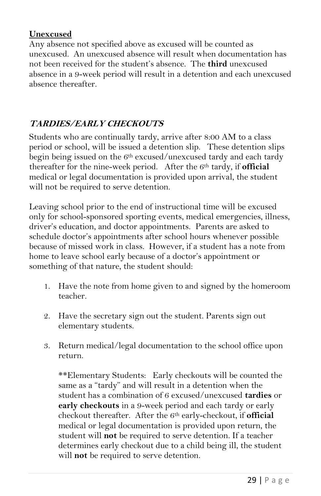#### **Unexcused**

Any absence not specified above as excused will be counted as unexcused. An unexcused absence will result when documentation has not been received for the student's absence. The **third** unexcused absence in a 9-week period will result in a detention and each unexcused absence thereafter.

#### **TARDIES/EARLY CHECKOUTS**

Students who are continually tardy, arrive after 8:00 AM to a class period or school, will be issued a detention slip. These detention slips begin being issued on the  $6<sup>th</sup>$  excused/unexcused tardy and each tardy thereafter for the nine-week period. After the 6th tardy, if **official** medical or legal documentation is provided upon arrival, the student will not be required to serve detention.

Leaving school prior to the end of instructional time will be excused only for school-sponsored sporting events, medical emergencies, illness, driver's education, and doctor appointments.Parents are asked to schedule doctor's appointments after school hours whenever possible because of missed work in class. However, if a student has a note from home to leave school early because of a doctor's appointment or something of that nature, the student should:

- 1. Have the note from home given to and signed by the homeroom teacher.
- 2. Have the secretary sign out the student. Parents sign out elementary students.
- 3. Return medical/legal documentation to the school office upon return.

\*\*Elementary Students: Early checkouts will be counted the same as a "tardy" and will result in a detention when the student has a combination of 6 excused/unexcused **tardies** or **early checkouts** in a 9-week period and each tardy or early checkout thereafter. After the 6th early-checkout, if **official**  medical or legal documentation is provided upon return, the student will **not** be required to serve detention. If a teacher determines early checkout due to a child being ill, the student will **not** be required to serve detention.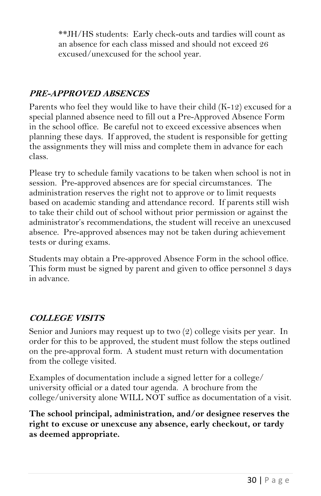\*\*JH/HS students: Early check-outs and tardies will count as an absence for each class missed and should not exceed 26 excused/unexcused for the school year.

#### **PRE-APPROVED ABSENCES**

Parents who feel they would like to have their child (K-12) excused for a special planned absence need to fill out a Pre-Approved Absence Form in the school office. Be careful not to exceed excessive absences when planning these days. If approved, the student is responsible for getting the assignments they will miss and complete them in advance for each class.

Please try to schedule family vacations to be taken when school is not in session. Pre-approved absences are for special circumstances. The administration reserves the right not to approve or to limit requests based on academic standing and attendance record. If parents still wish to take their child out of school without prior permission or against the administrator's recommendations, the student will receive an unexcused absence. Pre-approved absences may not be taken during achievement tests or during exams.

Students may obtain a Pre-approved Absence Form in the school office. This form must be signed by parent and given to office personnel 3 days in advance.

#### **COLLEGE VISITS**

Senior and Juniors may request up to two (2) college visits per year. In order for this to be approved, the student must follow the steps outlined on the pre-approval form. A student must return with documentation from the college visited.

Examples of documentation include a signed letter for a college/ university official or a dated tour agenda. A brochure from the college/university alone WILL NOT suffice as documentation of a visit.

**The school principal, administration, and/or designee reserves the right to excuse or unexcuse any absence, early checkout, or tardy as deemed appropriate.**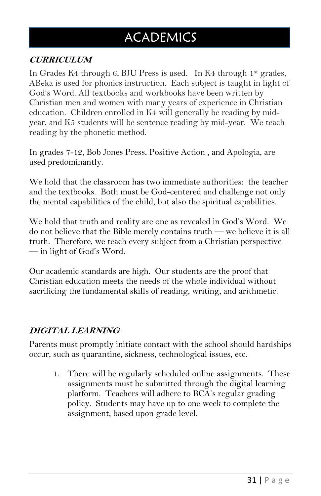## **ACADEMICS**

#### **CURRICULUM**

In Grades K4 through 6, BJU Press is used. In K4 through 1st grades, ABeka is used for phonics instruction. Each subject is taught in light of God's Word. All textbooks and workbooks have been written by Christian men and women with many years of experience in Christian education. Children enrolled in K4 will generally be reading by midyear, and K5 students will be sentence reading by mid-year. We teach reading by the phonetic method.

In grades 7-12, Bob Jones Press, Positive Action , and Apologia, are used predominantly.

We hold that the classroom has two immediate authorities: the teacher and the textbooks. Both must be God-centered and challenge not only the mental capabilities of the child, but also the spiritual capabilities.

We hold that truth and reality are one as revealed in God's Word. We do not believe that the Bible merely contains truth — we believe it is all truth. Therefore, we teach every subject from a Christian perspective — in light of God's Word.

Our academic standards are high. Our students are the proof that Christian education meets the needs of the whole individual without sacrificing the fundamental skills of reading, writing, and arithmetic.

#### **DIGITAL LEARNING**

Parents must promptly initiate contact with the school should hardships occur, such as quarantine, sickness, technological issues, etc.

1. There will be regularly scheduled online assignments. These assignments must be submitted through the digital learning platform. Teachers will adhere to BCA's regular grading policy. Students may have up to one week to complete the assignment, based upon grade level.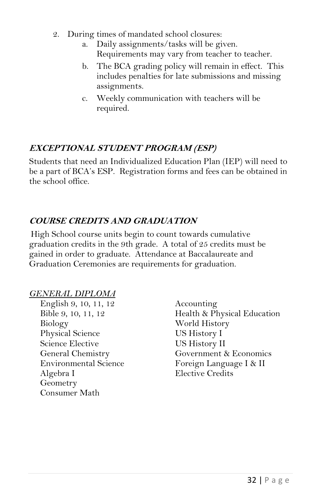- 2. During times of mandated school closures:
	- a. Daily assignments/tasks will be given. Requirements may vary from teacher to teacher.
	- b. The BCA grading policy will remain in effect. This includes penalties for late submissions and missing assignments.
	- c. Weekly communication with teachers will be required.

#### **EXCEPTIONAL STUDENT PROGRAM (ESP)**

Students that need an Individualized Education Plan (IEP) will need to be a part of BCA's ESP. Registration forms and fees can be obtained in the school office.

#### **COURSE CREDITS AND GRADUATION**

High School course units begin to count towards cumulative graduation credits in the 9th grade. A total of 25 credits must be gained in order to graduate. Attendance at Baccalaureate and Graduation Ceremonies are requirements for graduation.

#### *GENERAL DIPLOMA*

- English 9, 10, 11, 12 Accounting Biology World History Physical Science US History I Science Elective US History II<br>General Chemistry Government & Algebra I Elective Credits Geometry Consumer Math
- Bible 9, 10, 11, 12 Health & Physical Education Government & Economics Environmental Science Foreign Language I & II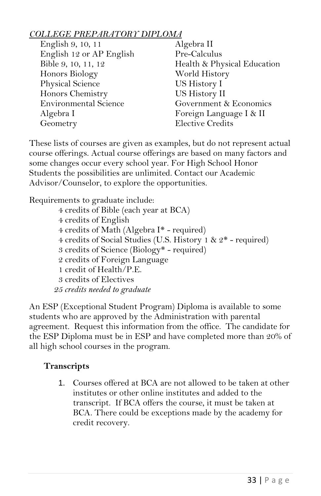#### *COLLEGE PREPARATORY DIPLOMA*

| English 9, 10, 11            | Algebra II                  |
|------------------------------|-----------------------------|
| English 12 or AP English     | Pre-Calculus                |
| Bible 9, 10, 11, 12          | Health & Physical Education |
| Honors Biology               | World History               |
| Physical Science             | US History I                |
| Honors Chemistry             | US History II               |
| <b>Environmental Science</b> | Government & Economics      |
| Algebra I                    | Foreign Language I & II     |
| Geometry                     | <b>Elective Credits</b>     |
|                              |                             |

These lists of courses are given as examples, but do not represent actual course offerings. Actual course offerings are based on many factors and some changes occur every school year. For High School Honor Students the possibilities are unlimited. Contact our Academic Advisor/Counselor, to explore the opportunities.

Requirements to graduate include:

4 credits of Bible (each year at BCA) 4 credits of English 4 credits of Math (Algebra I\* - required) 4 credits of Social Studies (U.S. History 1 & 2\* - required) 3 credits of Science (Biology\* - required) 2 credits of Foreign Language 1 credit of Health/P.E. 3 credits of Electives *25 credits needed to graduate*

An ESP (Exceptional Student Program) Diploma is available to some students who are approved by the Administration with parental agreement. Request this information from the office. The candidate for the ESP Diploma must be in ESP and have completed more than 20% of all high school courses in the program.

#### **Transcripts**

1. Courses offered at BCA are not allowed to be taken at other institutes or other online institutes and added to the transcript. If BCA offers the course, it must be taken at BCA. There could be exceptions made by the academy for credit recovery.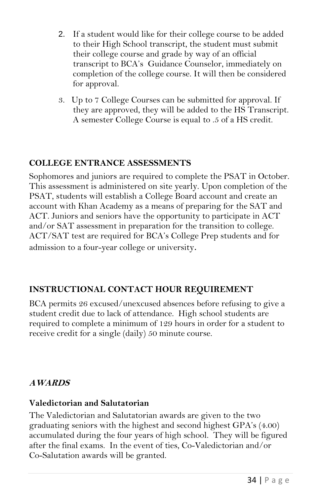- 2. If a student would like for their college course to be added to their High School transcript, the student must submit their college course and grade by way of an official transcript to BCA's Guidance Counselor, immediately on completion of the college course. It will then be considered for approval.
- 3. Up to 7 College Courses can be submitted for approval. If they are approved, they will be added to the HS Transcript. A semester College Course is equal to .5 of a HS credit.

#### **COLLEGE ENTRANCE ASSESSMENTS**

Sophomores and juniors are required to complete the PSAT in October. This assessment is administered on site yearly. Upon completion of the PSAT, students will establish a College Board account and create an account with Khan Academy as a means of preparing for the SAT and ACT. Juniors and seniors have the opportunity to participate in ACT and/or SAT assessment in preparation for the transition to college. ACT/SAT test are required for BCA's College Prep students and for admission to a four-year college or university.

#### **INSTRUCTIONAL CONTACT HOUR REQUIREMENT**

BCA permits 26 excused/unexcused absences before refusing to give a student credit due to lack of attendance. High school students are required to complete a minimum of 129 hours in order for a student to receive credit for a single (daily) 50 minute course.

#### **AWARDS**

#### **Valedictorian and Salutatorian**

The Valedictorian and Salutatorian awards are given to the two graduating seniors with the highest and second highest GPA's (4.00) accumulated during the four years of high school. They will be figured after the final exams. In the event of ties, Co-Valedictorian and/or Co-Salutation awards will be granted.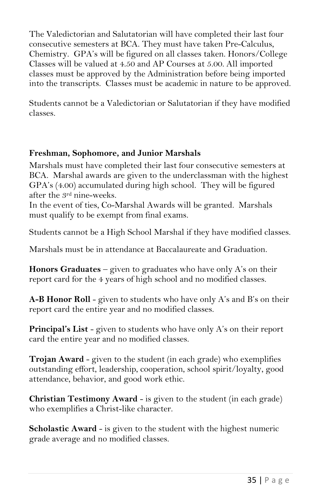The Valedictorian and Salutatorian will have completed their last four consecutive semesters at BCA. They must have taken Pre-Calculus, Chemistry. GPA's will be figured on all classes taken. Honors/College Classes will be valued at 4.50 and AP Courses at 5.00. All imported classes must be approved by the Administration before being imported into the transcripts. Classes must be academic in nature to be approved.

Students cannot be a Valedictorian or Salutatorian if they have modified classes.

#### **Freshman, Sophomore, and Junior Marshals**

Marshals must have completed their last four consecutive semesters at BCA. Marshal awards are given to the underclassman with the highest GPA's (4.00) accumulated during high school. They will be figured after the 3rd nine-weeks.

In the event of ties, Co-Marshal Awards will be granted. Marshals must qualify to be exempt from final exams.

Students cannot be a High School Marshal if they have modified classes.

Marshals must be in attendance at Baccalaureate and Graduation.

**Honors Graduates** – given to graduates who have only A's on their report card for the 4 years of high school and no modified classes.

**A-B Honor Roll** - given to students who have only A's and B's on their report card the entire year and no modified classes.

**Principal's List** - given to students who have only A's on their report card the entire year and no modified classes.

**Trojan Award** - given to the student (in each grade) who exemplifies outstanding effort, leadership, cooperation, school spirit/loyalty, good attendance, behavior, and good work ethic.

**Christian Testimony Award** - is given to the student (in each grade) who exemplifies a Christ-like character.

**Scholastic Award** - is given to the student with the highest numeric grade average and no modified classes.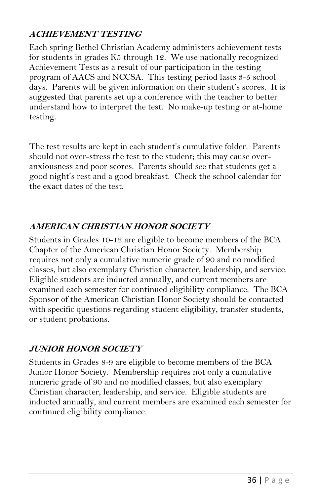#### **ACHIEVEMENT TESTING**

Each spring Bethel Christian Academy administers achievement tests for students in grades K5 through 12. We use nationally recognized Achievement Tests as a result of our participation in the testing program of AACS and NCCSA. This testing period lasts 3-5 school days. Parents will be given information on their student's scores. It is suggested that parents set up a conference with the teacher to better understand how to interpret the test. No make-up testing or at-home testing.

The test results are kept in each student's cumulative folder. Parents should not over-stress the test to the student; this may cause overanxiousness and poor scores. Parents should see that students get a good night's rest and a good breakfast. Check the school calendar for the exact dates of the test.

#### **AMERICAN CHRISTIAN HONOR SOCIETY**

Students in Grades 10-12 are eligible to become members of the BCA Chapter of the American Christian Honor Society. Membership requires not only a cumulative numeric grade of 90 and no modified classes, but also exemplary Christian character, leadership, and service. Eligible students are inducted annually, and current members are examined each semester for continued eligibility compliance. The BCA Sponsor of the American Christian Honor Society should be contacted with specific questions regarding student eligibility, transfer students, or student probations.

#### **JUNIOR HONOR SOCIETY**

Students in Grades 8-9 are eligible to become members of the BCA Junior Honor Society. Membership requires not only a cumulative numeric grade of 90 and no modified classes, but also exemplary Christian character, leadership, and service. Eligible students are inducted annually, and current members are examined each semester for continued eligibility compliance.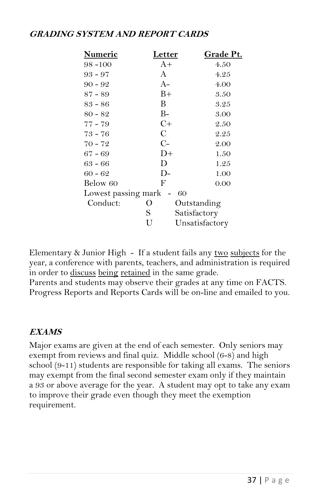#### **GRADING SYSTEM AND REPORT CARDS**

| <b>Numeric</b> | <u>Letter</u>       | Grade Pt.      |
|----------------|---------------------|----------------|
| $98 - 100$     | $A+$                | 4.50           |
| $93 - 97$      | A                   | 4.25           |
| $90 - 92$      | A-                  | 4.00           |
| $87 - 89$      | $B+$                | 3.50           |
| $83 - 86$      | B                   | 3.25           |
| $80 - 82$      | B-                  | 3.00           |
| $77 - 79$      | $C+$                | 2.50           |
| $73 - 76$      | C                   | 2.25           |
| $70 - 72$      | $C-$                | 2.00           |
| $67 - 69$      | $D+$                | 1.50           |
| $63 - 66$      | D                   | 1.25           |
| $60 - 62$      | $D-$                | 1.00           |
| Below 60       | F                   | 0.00           |
|                | Lowest passing mark | 60             |
| Conduct:       | $\theta$            | Outstanding    |
|                | S                   | Satisfactory   |
|                | U                   | Unsatisfactory |

Elementary & Junior High - If a student fails any two subjects for the year, a conference with parents, teachers, and administration is required in order to discuss being retained in the same grade.

Parents and students may observe their grades at any time on FACTS. Progress Reports and Reports Cards will be on-line and emailed to you.

#### **EXAMS**

Major exams are given at the end of each semester. Only seniors may exempt from reviews and final quiz. Middle school (6-8) and high school (9-11) students are responsible for taking all exams. The seniors may exempt from the final second semester exam only if they maintain a 93 or above average for the year. A student may opt to take any exam to improve their grade even though they meet the exemption requirement.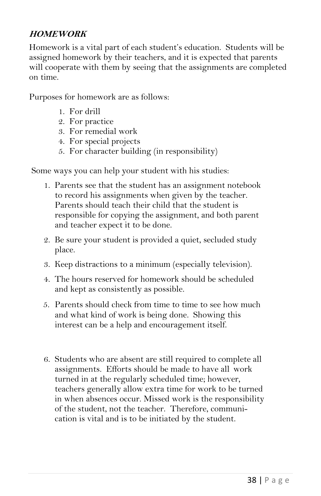#### **HOMEWORK**

Homework is a vital part of each student's education. Students will be assigned homework by their teachers, and it is expected that parents will cooperate with them by seeing that the assignments are completed on time.

Purposes for homework are as follows:

- 1. For drill
- 2. For practice
- 3. For remedial work
- 4. For special projects
- 5. For character building (in responsibility)

Some ways you can help your student with his studies:

- 1. Parents see that the student has an assignment notebook to record his assignments when given by the teacher. Parents should teach their child that the student is responsible for copying the assignment, and both parent and teacher expect it to be done.
- 2. Be sure your student is provided a quiet, secluded study place.
- 3. Keep distractions to a minimum (especially television).
- 4. The hours reserved for homework should be scheduled and kept as consistently as possible.
- 5. Parents should check from time to time to see how much and what kind of work is being done. Showing this interest can be a help and encouragement itself.
- 6. Students who are absent are still required to complete all assignments. Efforts should be made to have all work turned in at the regularly scheduled time; however, teachers generally allow extra time for work to be turned in when absences occur. Missed work is the responsibility of the student, not the teacher. Therefore, communication is vital and is to be initiated by the student.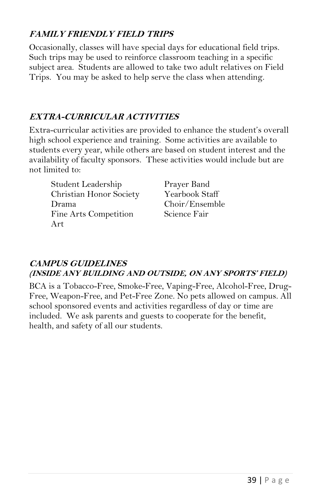#### **FAMILY FRIENDLY FIELD TRIPS**

Occasionally, classes will have special days for educational field trips. Such trips may be used to reinforce classroom teaching in a specific subject area. Students are allowed to take two adult relatives on Field Trips. You may be asked to help serve the class when attending.

#### **EXTRA-CURRICULAR ACTIVITIES**

Extra-curricular activities are provided to enhance the student's overall high school experience and training. Some activities are available to students every year, while others are based on student interest and the availability of faculty sponsors. These activities would include but are not limited to:

Student Leadership Prayer Band Christian Honor Society Yearbook Staff Drama Choir/Ensemble Fine Arts Competition Science Fair Art

#### **CAMPUS GUIDELINES (INSIDE ANY BUILDING AND OUTSIDE, ON ANY SPORTS' FIELD)**

BCA is a Tobacco-Free, Smoke-Free, Vaping-Free, Alcohol-Free, Drug-Free, Weapon-Free, and Pet-Free Zone. No pets allowed on campus. All school sponsored events and activities regardless of day or time are included. We ask parents and guests to cooperate for the benefit, health, and safety of all our students.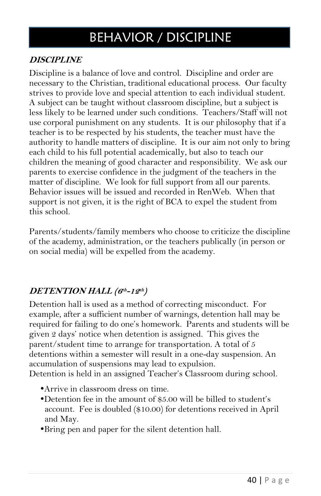## BEHAVIOR / DISCIPLINE

#### **DISCIPLINE**

Discipline is a balance of love and control. Discipline and order are necessary to the Christian, traditional educational process. Our faculty strives to provide love and special attention to each individual student. A subject can be taught without classroom discipline, but a subject is less likely to be learned under such conditions. Teachers/Staff will not use corporal punishment on any students. It is our philosophy that if a teacher is to be respected by his students, the teacher must have the authority to handle matters of discipline. It is our aim not only to bring each child to his full potential academically, but also to teach our children the meaning of good character and responsibility. We ask our parents to exercise confidence in the judgment of the teachers in the matter of discipline. We look for full support from all our parents. Behavior issues will be issued and recorded in RenWeb. When that support is not given, it is the right of BCA to expel the student from this school.

Parents/students/family members who choose to criticize the discipline of the academy, administration, or the teachers publically (in person or on social media) will be expelled from the academy.

#### **DETENTION HALL (6 th -12 th )**

Detention hall is used as a method of correcting misconduct. For example, after a sufficient number of warnings, detention hall may be required for failing to do one's homework. Parents and students will be given 2 days' notice when detention is assigned. This gives the parent/student time to arrange for transportation. A total of 5 detentions within a semester will result in a one-day suspension. An accumulation of suspensions may lead to expulsion. Detention is held in an assigned Teacher's Classroom during school.

- Arrive in classroom dress on time.
- Detention fee in the amount of \$5.00 will be billed to student's account. Fee is doubled (\$10.00) for detentions received in April and May.
- Bring pen and paper for the silent detention hall.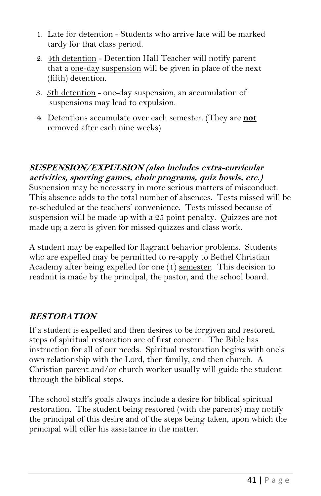- 1. Late for detention Students who arrive late will be marked tardy for that class period.
- 2. 4th detention Detention Hall Teacher will notify parent that a <u>one-day suspension</u> will be given in place of the next (fifth) detention.
- 3. 5th detention one-day suspension, an accumulation of suspensions may lead to expulsion.
- 4. Detentions accumulate over each semester. (They are **not** removed after each nine weeks)

#### **SUSPENSION/EXPULSION (also includes extra-curricular activities, sporting games, choir programs, quiz bowls, etc.)**

Suspension may be necessary in more serious matters of misconduct. This absence adds to the total number of absences. Tests missed will be re-scheduled at the teachers' convenience. Tests missed because of suspension will be made up with a 25 point penalty. Quizzes are not made up; a zero is given for missed quizzes and class work.

A student may be expelled for flagrant behavior problems. Students who are expelled may be permitted to re-apply to Bethel Christian Academy after being expelled for one (1) semester. This decision to readmit is made by the principal, the pastor, and the school board.

#### **RESTORATION**

If a student is expelled and then desires to be forgiven and restored, steps of spiritual restoration are of first concern. The Bible has instruction for all of our needs. Spiritual restoration begins with one's own relationship with the Lord, then family, and then church. A Christian parent and/or church worker usually will guide the student through the biblical steps.

The school staff's goals always include a desire for biblical spiritual restoration. The student being restored (with the parents) may notify the principal of this desire and of the steps being taken, upon which the principal will offer his assistance in the matter.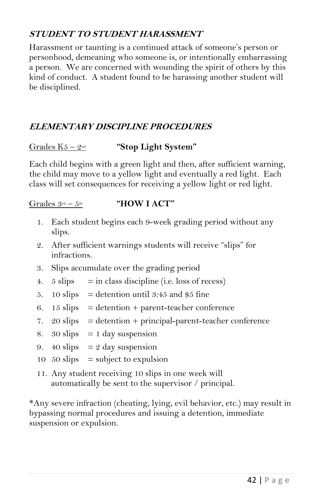#### **STUDENT TO STUDENT HARASSMENT**

Harassment or taunting is a continued attack of someone's person or personhood, demeaning who someone is, or intentionally embarrassing a person. We are concerned with wounding the spirit of others by this kind of conduct. A student found to be harassing another student will be disciplined.

#### **ELEMENTARY DISCIPLINE PROCEDURES**

#### Grades K5 – 2nd **"Stop Light System"**

Each child begins with a green light and then, after sufficient warning, the child may move to a yellow light and eventually a red light. Each class will set consequences for receiving a yellow light or red light.

#### Grades  $3^{rd} - 5^{th}$  **"HOW I ACT"**

- 1. Each student begins each 9-week grading period without any slips.
- 2. After sufficient warnings students will receive "slips" for infractions.
- 3. Slips accumulate over the grading period
- 4.  $5 \text{ slips} = \text{in class discipline (i.e. loss of recess)}$
- 5. 10 slips  $=$  detention until 3:45 and \$5 fine
- 6. 15 slips  $=$  detention + parent-teacher conference
- 7.  $20 \text{ slips} = \text{detection} + \text{principal-parent}-\text{teacher conference}$
- 8.  $30 \text{ slips} = 1 \text{ day suspension}$
- 9. 40 slips  $= 2$  day suspension
- 10  $50 \text{ slips}$  = subject to expulsion
- 11. Any student receiving 10 slips in one week will automatically be sent to the supervisor / principal.

\*Any severe infraction (cheating, lying, evil behavior, etc.) may result in bypassing normal procedures and issuing a detention, immediate suspension or expulsion.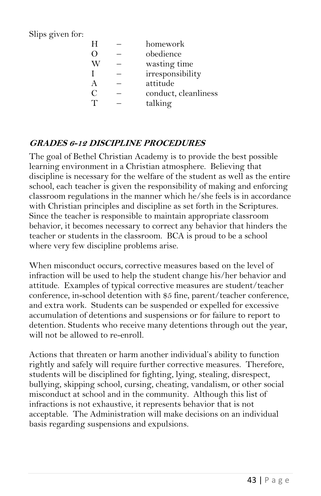Slips given for:

| H | homework             |
|---|----------------------|
| О | obedience            |
|   | wasting time         |
| I | irresponsibility     |
| А | attitude             |
| С | conduct, cleanliness |
|   | talking              |

#### **GRADES 6-12 DISCIPLINE PROCEDURES**

The goal of Bethel Christian Academy is to provide the best possible learning environment in a Christian atmosphere. Believing that discipline is necessary for the welfare of the student as well as the entire school, each teacher is given the responsibility of making and enforcing classroom regulations in the manner which he/she feels is in accordance with Christian principles and discipline as set forth in the Scriptures. Since the teacher is responsible to maintain appropriate classroom behavior, it becomes necessary to correct any behavior that hinders the teacher or students in the classroom. BCA is proud to be a school where very few discipline problems arise.

When misconduct occurs, corrective measures based on the level of infraction will be used to help the student change his/her behavior and attitude. Examples of typical corrective measures are student/teacher conference, in-school detention with \$5 fine, parent/teacher conference, and extra work. Students can be suspended or expelled for excessive accumulation of detentions and suspensions or for failure to report to detention. Students who receive many detentions through out the year, will not be allowed to re-enroll.

Actions that threaten or harm another individual's ability to function rightly and safely will require further corrective measures. Therefore, students will be disciplined for fighting, lying, stealing, disrespect, bullying, skipping school, cursing, cheating, vandalism, or other social misconduct at school and in the community. Although this list of infractions is not exhaustive, it represents behavior that is not acceptable. The Administration will make decisions on an individual basis regarding suspensions and expulsions.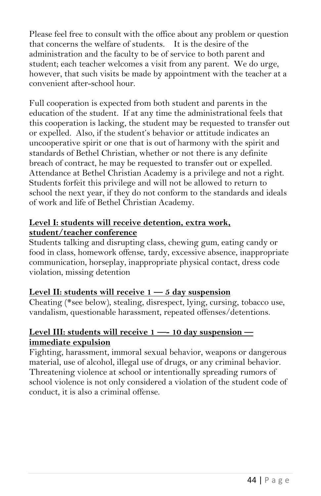Please feel free to consult with the office about any problem or question that concerns the welfare of students. It is the desire of the administration and the faculty to be of service to both parent and student; each teacher welcomes a visit from any parent. We do urge, however, that such visits be made by appointment with the teacher at a convenient after-school hour.

Full cooperation is expected from both student and parents in the education of the student. If at any time the administrational feels that this cooperation is lacking, the student may be requested to transfer out or expelled. Also, if the student's behavior or attitude indicates an uncooperative spirit or one that is out of harmony with the spirit and standards of Bethel Christian, whether or not there is any definite breach of contract, he may be requested to transfer out or expelled. Attendance at Bethel Christian Academy is a privilege and not a right. Students forfeit this privilege and will not be allowed to return to school the next year, if they do not conform to the standards and ideals of work and life of Bethel Christian Academy.

#### **Level I: students will receive detention, extra work, student/teacher conference**

Students talking and disrupting class, chewing gum, eating candy or food in class, homework offense, tardy, excessive absence, inappropriate communication, horseplay, inappropriate physical contact, dress code violation, missing detention

#### **Level II: students will receive 1 — 5 day suspension**

Cheating (\*see below), stealing, disrespect, lying, cursing, tobacco use, vandalism, questionable harassment, repeated offenses/detentions.

#### **Level III: students will receive 1 —- 10 day suspension immediate expulsion**

Fighting, harassment, immoral sexual behavior, weapons or dangerous material, use of alcohol, illegal use of drugs, or any criminal behavior. Threatening violence at school or intentionally spreading rumors of school violence is not only considered a violation of the student code of conduct, it is also a criminal offense.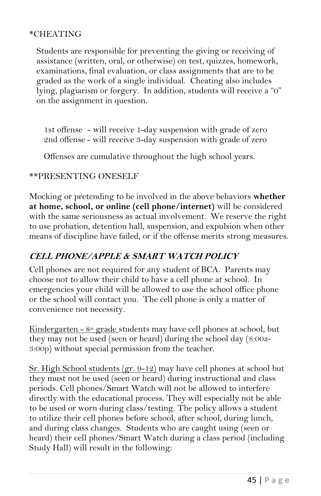#### \*CHEATING

Students are responsible for preventing the giving or receiving of assistance (written, oral, or otherwise) on test, quizzes, homework, examinations, final evaluation, or class assignments that are to be graded as the work of a single individual. Cheating also includes lying, plagiarism or forgery. In addition, students will receive a "0" on the assignment in question.

1st offense - will receive 1-day suspension with grade of zero 2nd offense - will receive 3-day suspension with grade of zero

Offenses are cumulative throughout the high school years.

#### \*\*PRESENTING ONESELF

Mocking or pretending to be involved in the above behaviors **whether at home, school, or online (cell phone/internet)** will be considered with the same seriousness as actual involvement. We reserve the right to use probation, detention hall, suspension, and expulsion when other means of discipline have failed, or if the offense merits strong measures.

#### **CELL PHONE/APPLE & SMART WATCH POLICY**

Cell phones are not required for any student of BCA. Parents may choose not to allow their child to have a cell phone at school. In emergencies your child will be allowed to use the school office phone or the school will contact you. The cell phone is only a matter of convenience not necessity.

Kindergarten -  $8<sup>th</sup>$  grade students may have cell phones at school, but they may not be used (seen or heard) during the school day (8:00a-3:00p) without special permission from the teacher.

Sr. High School students (gr. 9-12) may have cell phones at school but they must not be used (seen or heard) during instructional and class periods. Cell phones/Smart Watch will not be allowed to interfere directly with the educational process. They will especially not be able to be used or worn during class/testing. The policy allows a student to utilize their cell phones before school, after school, during lunch, and during class changes. Students who are caught using (seen or heard) their cell phones/Smart Watch during a class period (including Study Hall) will result in the following: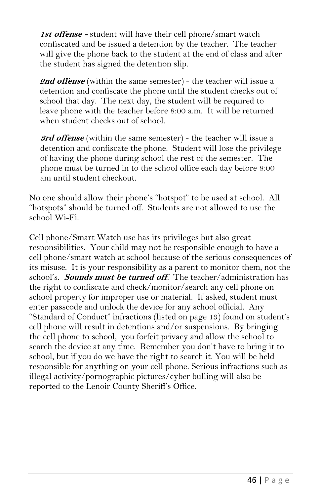**1st offense -** student will have their cell phone/smart watch confiscated and be issued a detention by the teacher. The teacher will give the phone back to the student at the end of class and after the student has signed the detention slip.

**2nd offense** (within the same semester) - the teacher will issue a detention and confiscate the phone until the student checks out of school that day. The next day, the student will be required to leave phone with the teacher before 8:00 a.m. It will be returned when student checks out of school.

**3rd offense** (within the same semester) - the teacher will issue a detention and confiscate the phone. Student will lose the privilege of having the phone during school the rest of the semester. The phone must be turned in to the school office each day before 8:00 am until student checkout.

No one should allow their phone's "hotspot" to be used at school. All "hotspots" should be turned off. Students are not allowed to use the school Wi-Fi.

Cell phone/Smart Watch use has its privileges but also great responsibilities. Your child may not be responsible enough to have a cell phone/smart watch at school because of the serious consequences of its misuse. It is your responsibility as a parent to monitor them, not the school's. **Sounds must be turned off***.* The teacher/administration has the right to confiscate and check/monitor/search any cell phone on school property for improper use or material. If asked, student must enter passcode and unlock the device for any school official. Any "Standard of Conduct" infractions (listed on page 13) found on student's cell phone will result in detentions and/or suspensions. By bringing the cell phone to school, you forfeit privacy and allow the school to search the device at any time. Remember you don't have to bring it to school, but if you do we have the right to search it. You will be held responsible for anything on your cell phone. Serious infractions such as illegal activity/pornographic pictures/cyber bulling will also be reported to the Lenoir County Sheriff's Office.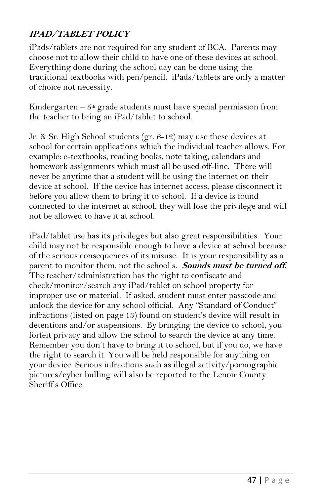#### **IPAD/TABLET POLICY**

iPads/tablets are not required for any student of BCA. Parents may choose not to allow their child to have one of these devices at school. Everything done during the school day can be done using the traditional textbooks with pen/pencil. iPads/tablets are only a matter of choice not necessity.

Kindergarten –  $5<sup>th</sup>$  grade students must have special permission from the teacher to bring an iPad/tablet to school.

Jr. & Sr. High School students (gr. 6-12) may use these devices at school for certain applications which the individual teacher allows. For example: e-textbooks, reading books, note taking, calendars and homework assignments which must all be used off-line. There will never be anytime that a student will be using the internet on their device at school. If the device has internet access, please disconnect it before you allow them to bring it to school. If a device is found connected to the internet at school, they will lose the privilege and will not be allowed to have it at school.

iPad/tablet use has its privileges but also great responsibilities. Your child may not be responsible enough to have a device at school because of the serious consequences of its misuse. It is your responsibility as a parent to monitor them, not the school's. **Sounds must be turned off.** The teacher/administration has the right to confiscate and check/monitor/search any iPad/tablet on school property for improper use or material. If asked, student must enter passcode and unlock the device for any school official. Any "Standard of Conduct" infractions (listed on page 13) found on student's device will result in detentions and/or suspensions. By bringing the device to school, you forfeit privacy and allow the school to search the device at any time. Remember you don't have to bring it to school, but if you do, we have the right to search it. You will be held responsible for anything on your device. Serious infractions such as illegal activity/pornographic pictures/cyber bulling will also be reported to the Lenoir County Sheriff's Office.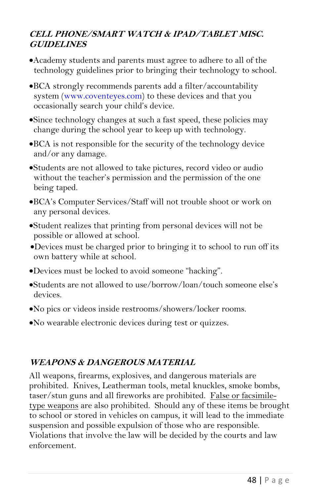#### **CELL PHONE/SMART WATCH & IPAD/TABLET MISC. GUIDELINES**

- Academy students and parents must agree to adhere to all of the technology guidelines prior to bringing their technology to school.
- BCA strongly recommends parents add a filter/accountability system [\(www.coventeyes.com\)](http://www.coventeyes.com/) to these devices and that you occasionally search your child's device.
- Since technology changes at such a fast speed, these policies may change during the school year to keep up with technology.
- BCA is not responsible for the security of the technology device and/or any damage.
- Students are not allowed to take pictures, record video or audio without the teacher's permission and the permission of the one being taped.
- BCA's Computer Services/Staff will not trouble shoot or work on any personal devices.
- Student realizes that printing from personal devices will not be possible or allowed at school.
- Devices must be charged prior to bringing it to school to run off its own battery while at school.
- Devices must be locked to avoid someone "hacking".
- Students are not allowed to use/borrow/loan/touch someone else's devices.
- No pics or videos inside restrooms/showers/locker rooms.
- No wearable electronic devices during test or quizzes.

#### **WEAPONS & DANGEROUS MATERIAL**

All weapons, firearms, explosives, and dangerous materials are prohibited. Knives, Leatherman tools, metal knuckles, smoke bombs, taser/stun guns and all fireworks are prohibited. False or facsimiletype weapons are also prohibited. Should any of these items be brought to school or stored in vehicles on campus, it will lead to the immediate suspension and possible expulsion of those who are responsible. Violations that involve the law will be decided by the courts and law enforcement.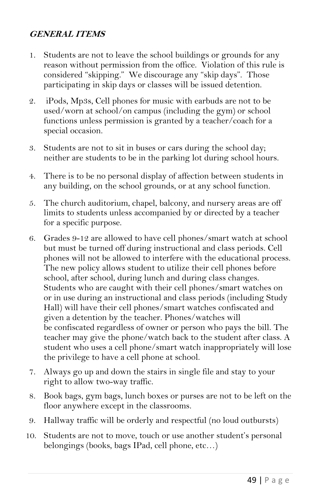#### **GENERAL ITEMS**

- 1. Students are not to leave the school buildings or grounds for any reason without permission from the office. Violation of this rule is considered "skipping." We discourage any "skip days". Those participating in skip days or classes will be issued detention.
- 2. iPods, Mp3s, Cell phones for music with earbuds are not to be used/worn at school/on campus (including the gym) or school functions unless permission is granted by a teacher/coach for a special occasion.
- 3. Students are not to sit in buses or cars during the school day; neither are students to be in the parking lot during school hours.
- 4. There is to be no personal display of affection between students in any building, on the school grounds, or at any school function.
- 5. The church auditorium, chapel, balcony, and nursery areas are off limits to students unless accompanied by or directed by a teacher for a specific purpose.
- 6. Grades 9-12 are allowed to have cell phones/smart watch at school but must be turned off during instructional and class periods. Cell phones will not be allowed to interfere with the educational process. The new policy allows student to utilize their cell phones before school, after school, during lunch and during class changes. Students who are caught with their cell phones/smart watches on or in use during an instructional and class periods (including Study Hall) will have their cell phones/smart watches confiscated and given a detention by the teacher. Phones/watches will be confiscated regardless of owner or person who pays the bill. The teacher may give the phone/watch back to the student after class. A student who uses a cell phone/smart watch inappropriately will lose the privilege to have a cell phone at school.
- 7. Always go up and down the stairs in single file and stay to your right to allow two-way traffic.
- 8. Book bags, gym bags, lunch boxes or purses are not to be left on the floor anywhere except in the classrooms.
- 9. Hallway traffic will be orderly and respectful (no loud outbursts)
- 10. Students are not to move, touch or use another student's personal belongings (books, bags IPad, cell phone, etc…)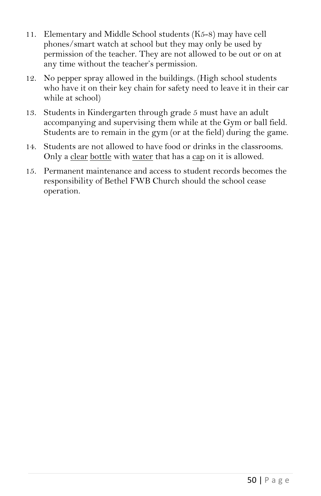- 11. Elementary and Middle School students (K5-8) may have cell phones/smart watch at school but they may only be used by permission of the teacher. They are not allowed to be out or on at any time without the teacher's permission.
- 12. No pepper spray allowed in the buildings. (High school students who have it on their key chain for safety need to leave it in their car while at school)
- 13. Students in Kindergarten through grade 5 must have an adult accompanying and supervising them while at the Gym or ball field. Students are to remain in the gym (or at the field) during the game.
- 14. Students are not allowed to have food or drinks in the classrooms. Only a clear bottle with water that has a cap on it is allowed.
- 15. Permanent maintenance and access to student records becomes the responsibility of Bethel FWB Church should the school cease operation.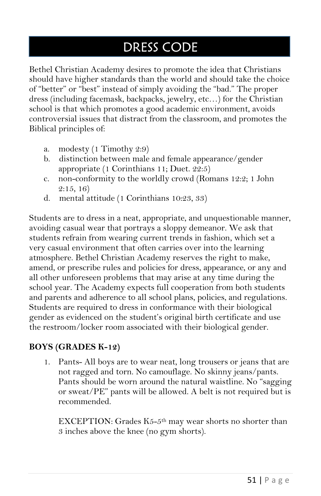## DRESS CODE

Bethel Christian Academy desires to promote the idea that Christians should have higher standards than the world and should take the choice of "better" or "best" instead of simply avoiding the "bad." The proper dress (including facemask, backpacks, jewelry, etc…) for the Christian school is that which promotes a good academic environment, avoids controversial issues that distract from the classroom, and promotes the Biblical principles of:

- a. modesty (1 Timothy 2:9)
- b. distinction between male and female appearance/gender appropriate (1 Corinthians 11; Duet. 22:5)
- c. non-conformity to the worldly crowd (Romans 12:2; 1 John  $2:15, 16$
- d. mental attitude (1 Corinthians 10:23, 33)

Students are to dress in a neat, appropriate, and unquestionable manner, avoiding casual wear that portrays a sloppy demeanor. We ask that students refrain from wearing current trends in fashion, which set a very casual environment that often carries over into the learning atmosphere. Bethel Christian Academy reserves the right to make, amend, or prescribe rules and policies for dress, appearance, or any and all other unforeseen problems that may arise at any time during the school year. The Academy expects full cooperation from both students and parents and adherence to all school plans, policies, and regulations. Students are required to dress in conformance with their biological gender as evidenced on the student's original birth certificate and use the restroom/locker room associated with their biological gender.

#### **BOYS (GRADES K-12)**

1. Pants- All boys are to wear neat, long trousers or jeans that are not ragged and torn. No camouflage. No skinny jeans/pants. Pants should be worn around the natural waistline. No "sagging or sweat/PE" pants will be allowed. A belt is not required but is recommended.

EXCEPTION: Grades  $K5-5<sup>th</sup>$  may wear shorts no shorter than 3 inches above the knee (no gym shorts).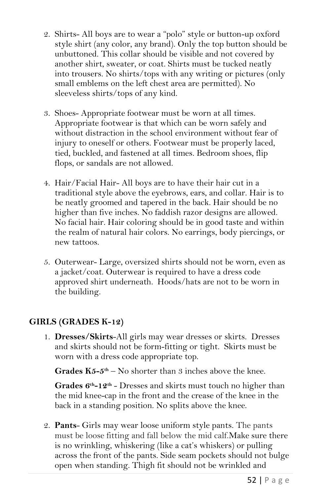- 2. Shirts- All boys are to wear a "polo" style or button-up oxford style shirt (any color, any brand). Only the top button should be unbuttoned. This collar should be visible and not covered by another shirt, sweater, or coat. Shirts must be tucked neatly into trousers. No shirts/tops with any writing or pictures (only small emblems on the left chest area are permitted). No sleeveless shirts/tops of any kind.
- 3. Shoes- Appropriate footwear must be worn at all times. Appropriate footwear is that which can be worn safely and without distraction in the school environment without fear of injury to oneself or others. Footwear must be properly laced, tied, buckled, and fastened at all times. Bedroom shoes, flip flops, or sandals are not allowed.
- 4. Hair/Facial Hair- All boys are to have their hair cut in a traditional style above the eyebrows, ears, and collar. Hair is to be neatly groomed and tapered in the back. Hair should be no higher than five inches. No faddish razor designs are allowed. No facial hair. Hair coloring should be in good taste and within the realm of natural hair colors. No earrings, body piercings, or new tattoos.
- 5. Outerwear- Large, oversized shirts should not be worn, even as a jacket/coat. Outerwear is required to have a dress code approved shirt underneath. Hoods/hats are not to be worn in the building.

#### **GIRLS (GRADES K-12)**

1. **Dresses/Skirts**-All girls may wear dresses or skirts. Dresses and skirts should not be form-fitting or tight. Skirts must be worn with a dress code appropriate top.

**Grades**  $K5-5$ **<sup>th</sup>** – No shorter than 3 inches above the knee.

Grades  $6<sup>th</sup> - 12<sup>th</sup>$  - Dresses and skirts must touch no higher than the mid knee-cap in the front and the crease of the knee in the back in a standing position. No splits above the knee.

2. **Pants**- Girls may wear loose uniform style pants. The pants must be loose fitting and fall below the mid calf.Make sure there is no wrinkling, whiskering (like a cat's whiskers) or pulling across the front of the pants. Side seam pockets should not bulge open when standing. Thigh fit should not be wrinkled and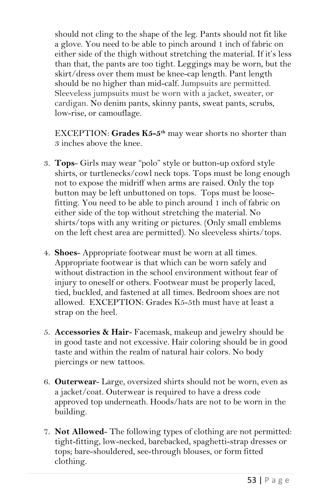should not cling to the shape of the leg. Pants should not fit like a glove. You need to be able to pinch around 1 inch of fabric on either side of the thigh without stretching the material. If it's less than that, the pants are too tight. Leggings may be worn, but the skirt/dress over them must be knee-cap length. Pant length should be no higher than mid-calf. Jumpsuits are permitted. Sleeveless jumpsuits must be worn with a jacket, sweater, or cardigan. No denim pants, skinny pants, sweat pants, scrubs, low-rise, or camouflage.

EXCEPTION: **Grades K5-5 th** may wear shorts no shorter than 3 inches above the knee.

- 3. **Tops** Girls may wear "polo" style or button-up oxford style shirts, or turtlenecks/cowl neck tops. Tops must be long enough not to expose the midriff when arms are raised. Only the top button may be left unbuttoned on tops. Tops must be loosefitting. You need to be able to pinch around 1 inch of fabric on either side of the top without stretching the material. No shirts/tops with any writing or pictures. (Only small emblems on the left chest area are permitted). No sleeveless shirts/tops.
- 4. **Shoes** Appropriate footwear must be worn at all times. Appropriate footwear is that which can be worn safely and without distraction in the school environment without fear of injury to oneself or others. Footwear must be properly laced, tied, buckled, and fastened at all times. Bedroom shoes are not allowed. EXCEPTION: Grades K5-5th must have at least a strap on the heel.
- 5. **Accessories & Hair** Facemask, makeup and jewelry should be in good taste and not excessive. Hair coloring should be in good taste and within the realm of natural hair colors. No body piercings or new tattoos.
- 6. **Outerwear** Large, oversized shirts should not be worn, even as a jacket/coat. Outerwear is required to have a dress code approved top underneath. Hoods/hats are not to be worn in the building.
- 7. **Not Allowed** The following types of clothing are not permitted: tight-fitting, low-necked, barebacked, spaghetti-strap dresses or tops; bare-shouldered, see-through blouses, or form fitted clothing.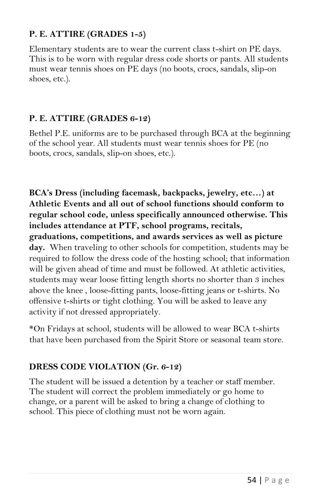#### **P. E. ATTIRE (GRADES 1-5)**

Elementary students are to wear the current class t-shirt on PE days. This is to be worn with regular dress code shorts or pants. All students must wear tennis shoes on PE days (no boots, crocs, sandals, slip-on shoes, etc.).

#### **P. E. ATTIRE (GRADES 6-12)**

Bethel P.E. uniforms are to be purchased through BCA at the beginning of the school year. All students must wear tennis shoes for PE (no boots, crocs, sandals, slip-on shoes, etc.).

**BCA's Dress (including facemask, backpacks, jewelry, etc…) at Athletic Events and all out of school functions should conform to regular school code, unless specifically announced otherwise. This includes attendance at PTF, school programs, recitals, graduations, competitions, and awards services as well as picture day.** When traveling to other schools for competition, students may be required to follow the dress code of the hosting school; that information will be given ahead of time and must be followed. At athletic activities, students may wear loose fitting length shorts no shorter than 3 inches above the knee , loose-fitting pants, loose-fitting jeans or t-shirts. No offensive t-shirts or tight clothing. You will be asked to leave any activity if not dressed appropriately.

\*On Fridays at school, students will be allowed to wear BCA t-shirts that have been purchased from the Spirit Store or seasonal team store.

#### **DRESS CODE VIOLATION (Gr. 6-12)**

The student will be issued a detention by a teacher or staff member. The student will correct the problem immediately or go home to change, or a parent will be asked to bring a change of clothing to school. This piece of clothing must not be worn again.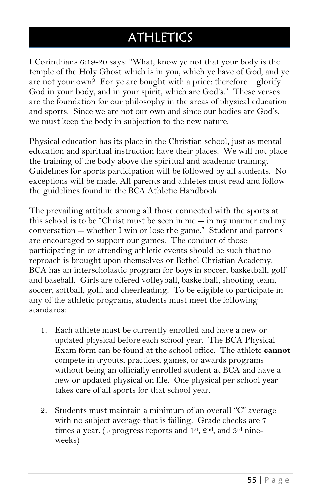## **ATHLETICS**

I Corinthians 6:19-20 says: "What, know ye not that your body is the temple of the Holy Ghost which is in you, which ye have of God, and ye are not your own? For ye are bought with a price: therefore glorify God in your body, and in your spirit, which are God's." These verses are the foundation for our philosophy in the areas of physical education and sports. Since we are not our own and since our bodies are God's, we must keep the body in subjection to the new nature.

Physical education has its place in the Christian school, just as mental education and spiritual instruction have their places. We will not place the training of the body above the spiritual and academic training. Guidelines for sports participation will be followed by all students. No exceptions will be made. All parents and athletes must read and follow the guidelines found in the BCA Athletic Handbook.

The prevailing attitude among all those connected with the sports at this school is to be "Christ must be seen in me -- in my manner and my conversation -- whether I win or lose the game." Student and patrons are encouraged to support our games. The conduct of those participating in or attending athletic events should be such that no reproach is brought upon themselves or Bethel Christian Academy. BCA has an interscholastic program for boys in soccer, basketball, golf and baseball. Girls are offered volleyball, basketball, shooting team, soccer, softball, golf, and cheerleading. To be eligible to participate in any of the athletic programs, students must meet the following standards:

- 1. Each athlete must be currently enrolled and have a new or updated physical before each school year. The BCA Physical Exam form can be found at the school office. The athlete **cannot** compete in tryouts, practices, games, or awards programs without being an officially enrolled student at BCA and have a new or updated physical on file. One physical per school year takes care of all sports for that school year.
- 2. Students must maintain a minimum of an overall "C" average with no subject average that is failing. Grade checks are 7 times a year. (4 progress reports and 1st, 2nd, and 3rd nineweeks)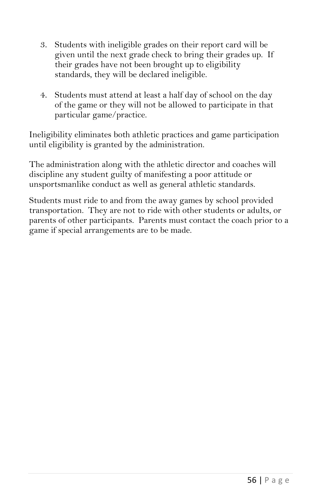- 3. Students with ineligible grades on their report card will be given until the next grade check to bring their grades up. If their grades have not been brought up to eligibility standards, they will be declared ineligible.
- 4. Students must attend at least a half day of school on the day of the game or they will not be allowed to participate in that particular game/practice.

Ineligibility eliminates both athletic practices and game participation until eligibility is granted by the administration.

The administration along with the athletic director and coaches will discipline any student guilty of manifesting a poor attitude or unsportsmanlike conduct as well as general athletic standards.

Students must ride to and from the away games by school provided transportation. They are not to ride with other students or adults, or parents of other participants. Parents must contact the coach prior to a game if special arrangements are to be made.